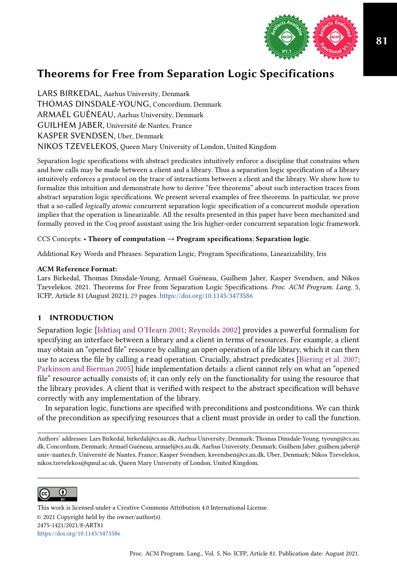

LARS BIRKEDAL, Aarhus University, Denmark THOMAS DINSDALE-YOUNG, Concordium, Denmark ARMAËL GUÉNEAU, Aarhus University, Denmark GUILHEM JABER, Université de Nantes, France KASPER SVENDSEN, Uber, Denmark NIKOS TZEVELEKOS, Queen Mary University of London, United Kingdom

Separation logic specifications with abstract predicates intuitively enforce a discipline that constrains when and how calls may be made between a client and a library. Thus a separation logic specification of a library intuitively enforces a protocol on the trace of interactions between a client and the library. We show how to formalize this intuition and demonstrate how to derive "free theorems" about such interaction traces from abstract separation logic specifications. We present several examples of free theorems. In particular, we prove that a so-called logically atomic concurrent separation logic specification of a concurrent module operation implies that the operation is linearizable. All the results presented in this paper have been mechanized and formally proved in the Coq proof assistant using the Iris higher-order concurrent separation logic framework.

## CCS Concepts: • Theory of computation  $\rightarrow$  Program specifications; Separation logic.

Additional Key Words and Phrases: Separation Logic, Program Specifications, Linearizability, Iris

## ACM Reference Format:

Lars Birkedal, Thomas Dinsdale-Young, Armaël Guéneau, Guilhem Jaber, Kasper Svendsen, and Nikos Tzevelekos. 2021. Theorems for Free from Separation Logic Specifications. Proc. ACM Program. Lang. 5, ICFP, Article 81 (August 2021), [29](#page-28-0) pages. <https://doi.org/10.1145/3473586>

# 1 INTRODUCTION

Separation logic [\[Ishtiaq and O'Hearn 2001;](#page-27-0) [Reynolds 2002\]](#page-28-1) provides a powerful formalism for specifying an interface between a library and a client in terms of resources. For example, a client may obtain an "opened filež resource by calling an open operation of a file library, which it can then use to access the file by calling a read operation. Crucially, abstract predicates [\[Biering et al.](#page-27-1) [2007;](#page-27-1) [Parkinson and Bierman 2005\]](#page-28-2) hide implementation details: a client cannot rely on what an "opened file" resource actually consists of; it can only rely on the functionality for using the resource that the library provides. A client that is verified with respect to the abstract specification will behave correctly with any implementation of the library.

In separation logic, functions are specified with preconditions and postconditions. We can think of the precondition as specifying resources that a client must provide in order to call the function.

Authors' addresses: Lars Birkedal, birkedal@cs.au.dk, Aarhus University, Denmark; Thomas Dinsdale-Young, tyoung@cs.au. dk, Concordium, Denmark; Armaël Guéneau, armael@cs.au.dk, Aarhus University, Denmark; Guilhem Jaber, guilhem.jaber@ univ-nantes.fr, Université de Nantes, France; Kasper Svendsen, ksvendsen@cs.au.dk, Uber, Denmark; Nikos Tzevelekos, nikos.tzevelekos@qmul.ac.uk, Queen Mary University of London, United Kingdom.



This work is licensed under a Creative Commons Attribution 4.0 International License. © 2021 Copyright held by the owner/author(s). 2475-1421/2021/8-ART81 <https://doi.org/10.1145/3473586>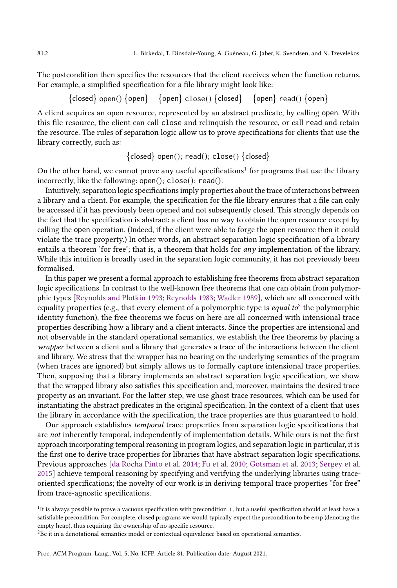The postcondition then specifies the resources that the client receives when the function returns. For example, a simplified specification for a file library might look like:

 $\{closed\}$  open()  $\{open\}$   $\{open\}$  close()  $\{closed\}$   $\{open\}$  read()  $\{open\}$ 

A client acquires an open resource, represented by an abstract predicate, by calling open. With this file resource, the client can call close and relinquish the resource, or call read and retain the resource. The rules of separation logic allow us to prove specifications for clients that use the library correctly, such as:

 $\{\text{closed}\}$  open();  $\text{read}$ ();  $\text{close}$ ()  $\{\text{closed}\}$ 

On the other hand, we cannot prove any useful specifications $^1$  $^1$  for programs that use the library incorrectly, like the following: open(); close(); read().

Intuitively, separation logic specifications imply properties about the trace of interactions between a library and a client. For example, the specification for the file library ensures that a file can only be accessed if it has previously been opened and not subsequently closed. This strongly depends on the fact that the specification is abstract: a client has no way to obtain the open resource except by calling the open operation. (Indeed, if the client were able to forge the open resource then it could violate the trace property.) In other words, an abstract separation logic specification of a library entails a theorem 'for free'; that is, a theorem that holds for  $any$  implementation of the library. While this intuition is broadly used in the separation logic community, it has not previously been formalised.

In this paper we present a formal approach to establishing free theorems from abstract separation logic specifications. In contrast to the well-known free theorems that one can obtain from polymorphic types [\[Reynolds and Plotkin 1993;](#page-28-3) [Reynolds 1983;](#page-28-4) [Wadler 1989\]](#page-28-5), which are all concerned with equality properties (e.g., that every element of a polymorphic type is *equal to*<sup>[2](#page-1-1)</sup> the polymorphic identity function), the free theorems we focus on here are all concerned with intensional trace properties describing how a library and a client interacts. Since the properties are intensional and not observable in the standard operational semantics, we establish the free theorems by placing a wrapper between a client and a library that generates a trace of the interactions between the client and library. We stress that the wrapper has no bearing on the underlying semantics of the program (when traces are ignored) but simply allows us to formally capture intensional trace properties. Then, supposing that a library implements an abstract separation logic specification, we show that the wrapped library also satisfies this specification and, moreover, maintains the desired trace property as an invariant. For the latter step, we use ghost trace resources, which can be used for instantiating the abstract predicates in the original specification. In the context of a client that uses the library in accordance with the specification, the trace properties are thus guaranteed to hold.

Our approach establishes temporal trace properties from separation logic specifications that are not inherently temporal, independently of implementation details. While ours is not the first approach incorporating temporal reasoning in program logics, and separation logic in particular, it is the first one to derive trace properties for libraries that have abstract separation logic specifications. Previous approaches [\[da Rocha Pinto et al.](#page-27-2) [2014;](#page-27-2) [Fu et al.](#page-27-3) [2010;](#page-27-3) [Gotsman et al.](#page-27-4) [2013;](#page-27-4) [Sergey et al.](#page-28-6) [2015\]](#page-28-6) achieve temporal reasoning by specifying and verifying the underlying libraries using traceoriented specifications; the novelty of our work is in deriving temporal trace properties "for freež from trace-agnostic specifications.

<span id="page-1-0"></span><sup>&</sup>lt;sup>1</sup>It is always possible to prove a vacuous specification with precondition ⊥, but a useful specification should at least have a satisfiable precondition. For complete, closed programs we would typically expect the precondition to be emp (denoting the empty heap), thus requiring the ownership of no specific resource.

<span id="page-1-1"></span><sup>&</sup>lt;sup>2</sup>Be it in a denotational semantics model or contextual equivalence based on operational semantics.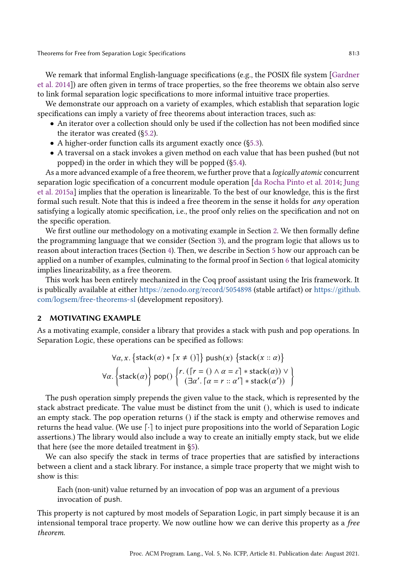We remark that informal English-language specifications (e.g., the POSIX file system [\[Gardner](#page-27-5) [et al.](#page-27-5) [2014\]](#page-27-5)) are often given in terms of trace properties, so the free theorems we obtain also serve to link formal separation logic specifications to more informal intuitive trace properties.

We demonstrate our approach on a variety of examples, which establish that separation logic specifications can imply a variety of free theorems about interaction traces, such as:

- An iterator over a collection should only be used if the collection has not been modified since the iterator was created ([ğ5.2\)](#page-10-0).
- A higher-order function calls its argument exactly once ([ğ5.3\)](#page-12-0).
- A traversal on a stack invokes a given method on each value that has been pushed (but not popped) in the order in which they will be popped ([ğ5.4\)](#page-15-0).

As a more advanced example of a free theorem, we further prove that a *logically atomic* concurrent separation logic specification of a concurrent module operation [\[da Rocha Pinto et al.](#page-27-2) [2014;](#page-27-2) [Jung](#page-27-6) [et al.](#page-27-6) [2015a\]](#page-27-6) implies that the operation is linearizable. To the best of our knowledge, this is the first formal such result. Note that this is indeed a free theorem in the sense it holds for any operation satisfying a logically atomic specification, i.e., the proof only relies on the specification and not on the specific operation.

We first outline our methodology on a motivating example in Section [2.](#page-2-0) We then formally define the programming language that we consider (Section [3\)](#page-4-0), and the program logic that allows us to reason about interaction traces (Section [4\)](#page-5-0). Then, we describe in Section [5](#page-8-0) how our approach can be applied on a number of examples, culminating to the formal proof in Section [6](#page-17-0) that logical atomicity implies linearizability, as a free theorem.

This work has been entirely mechanized in the Coq proof assistant using the Iris framework. It is publically available at either <https://zenodo.org/record/5054898> (stable artifact) or [https://github.](https://github.com/logsem/free-theorems-sl) [com/logsem/free-theorems-sl](https://github.com/logsem/free-theorems-sl) (development repository).

## <span id="page-2-0"></span>2 MOTIVATING EXAMPLE

As a motivating example, consider a library that provides a stack with push and pop operations. In Separation Logic, these operations can be specified as follows:

$$
\forall \alpha, x. \left\{ \text{stack}(\alpha) * \lceil x \neq () \rceil \right\} \text{push}(x) \left\{ \text{stack}(x :: \alpha) \right\}
$$

$$
\forall \alpha. \left\{ \text{stack}(\alpha) \right\} \text{pop}(x) \left\{ \lceil r \cdot ((r = () \land \alpha = \varepsilon) * \text{stack}(\alpha)) \lor \vee (\lceil x \cdot ((\lceil x \rceil - \alpha) * \text{stack}(\alpha)) \lor \vee (\lceil x \cdot ((\lceil x \rceil - \alpha) * \text{stack}(\alpha')) \land \vee (\lceil x \cdot ((\lceil x \rceil - \alpha) * \text{stack}(\alpha')) \land \vee (\lceil x \cdot ((\lceil x \rceil - \alpha) * \text{stack}(\alpha')) \land \vee (\lceil x \cdot ((\lceil x \cdot ((\lceil x \cdot ((\lceil x \cdot ((\lceil x \cdot ((\lceil x \cdot ((\lceil x \cdot ((\lceil x \cdot ((\lceil x \cdot ((\lceil x \cdot ((\lceil x \cdot ((\lceil x \cdot ((\lceil x \cdot ((\lceil x \cdot ((\lceil x \cdot ((\lceil x \cdot ((\lceil x \cdot ((\lceil x \cdot ((\lceil x \cdot ((\lceil x \cdot ((\lceil x \cdot ((\lceil x \cdot ((\lceil x \cdot ((\lceil x \cdot ((\lceil x \cdot ((\lceil x \cdot ((\lceil x \cdot ((\lceil x \cdot ((\lceil x \cdot ((\lceil x \cdot ((\lceil x \cdot ((\lceil x \cdot ((\lceil x \cdot ((\lceil x \cdot ((\lceil x \cdot ((\lceil x \cdot ((\lceil x \cdot ((\lceil x \cdot ((\lceil x \cdot ((\lceil x \cdot ((\lceil x \cdot ((\lceil x \cdot ((\lceil x \cdot ((\lceil x \cdot ((\lceil x \cdot ((\lceil x \cdot ((\lceil x \cdot ((\lceil x \cdot ((\lceil x \cdot ((\lceil x \cdot ((\lceil x \cdot ((\lceil x \cdot ((\lceil x \cdot ((\lceil x \cdot ((\lceil x \cdot ((\lceil x \cdot ((\lceil x \cdot ((\lceil x \cdot ((\lceil x \cdot ((\lceil x \cdot ((\lceil x \cdot ((\lceil x \cdot ((\lceil x \cdot ((\lceil x \cdot ((\lceil x \cdot ((\lceil x \cdot ((\lceil x \cdot ((\lceil x \cdot ((\lceil x \cdot ((\lceil x \cdot ((\lceil x \cdot ((\lceil
$$

The push operation simply prepends the given value to the stack, which is represented by the stack abstract predicate. The value must be distinct from the unit (), which is used to indicate an empty stack. The pop operation returns () if the stack is empty and otherwise removes and returns the head value. (We use [·] to inject pure propositions into the world of Separation Logic assertions.) The library would also include a way to create an initially empty stack, but we elide that here (see the more detailed treatment in [ğ5\)](#page-8-0).

We can also specify the stack in terms of trace properties that are satisfied by interactions between a client and a stack library. For instance, a simple trace property that we might wish to show is this:

Each (non-unit) value returned by an invocation of pop was an argument of a previous invocation of push.

This property is not captured by most models of Separation Logic, in part simply because it is an intensional temporal trace property. We now outline how we can derive this property as a free theorem.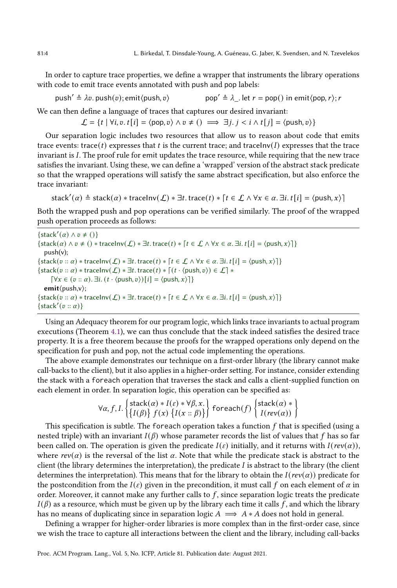In order to capture trace properties, we define a wrapper that instruments the library operations with code to emit trace events annotated with push and pop labels:

push′  $\triangleq \lambda v$ . push(v); emit $\langle push, v \rangle$  pop′  $\triangleq \lambda$ . let  $r = pop()$  in emit $\langle pop, r \rangle$ ; r

We can then define a language of traces that captures our desired invariant:

 $\mathcal{L} = \{ t \mid \forall i, v. t[i] = \langle \text{pop}, v \rangle \land v \neq () \implies \exists j. j < i \land t[j] = \langle \text{push}, v \rangle \}$ 

Our separation logic includes two resources that allow us to reason about code that emits trace events: trace(t) expresses that t is the current trace; and traceInv(I) expresses that the trace invariant is I. The proof rule for emit updates the trace resource, while requiring that the new trace satisfies the invariant. Using these, we can define a 'wrapped' version of the abstract stack predicate so that the wrapped operations will satisfy the same abstract specification, but also enforce the trace invariant:

$$
stack'(\alpha) \triangleq stack(\alpha) * traceInv(\mathcal{L}) * \exists t.\,trace(t) * [t \in \mathcal{L} \land \forall x \in \alpha.\, \exists i.\, t[i] = \langle push, x \rangle]
$$

Both the wrapped push and pop operations can be verified similarly. The proof of the wrapped push operation proceeds as follows:

 $\{stack'(a) \wedge v \neq ()\}$  $\{\text{stack}(\alpha) \land v \neq () * \text{traceInv}(\mathcal{L}) * \exists t.\text{trace}(t) * [t \in \mathcal{L} \land \forall x \in \alpha.\exists i.\ t[i] = \langle \text{push}, x \rangle]\}$ push(v);  $\{\text{stack}( v :: \alpha) * \text{traceInv}(\mathcal{L}) * \exists t.\text{trace}(t) * [t \in \mathcal{L} \land \forall x \in \alpha.\exists i.\ t[i] = \langle \text{push}, x \rangle]\}$  $\{\text{stack}(v:: \alpha) * \text{traceInv}(\mathcal{L}) * \exists t.\ \text{trace}(t) * [(t \cdot \langle \text{push}, v \rangle) \in \mathcal{L}] *$  $[\forall x \in (v :: \alpha) \ldots \exists i \ldots (t \cdot \langle \text{push}, v \rangle) [i] = \langle \text{push}, x \rangle]$ emit⟨push,v⟩;  $\{\text{stack}( v:: \alpha) * \text{traceInv}(\mathcal{L}) * \exists t.\text{trace}(t) * [t \in \mathcal{L} \land \forall x \in \alpha.\exists i.\ t[i] = \langle \text{push}, x \rangle \}]$  $\{stack'(v::\alpha)\}$ 

Using an Adequacy theorem for our program logic, which links trace invariants to actual program executions (Theorem [4.1\)](#page-7-0), we can thus conclude that the stack indeed satisfies the desired trace property. It is a free theorem because the proofs for the wrapped operations only depend on the specification for push and pop, not the actual code implementing the operations.

The above example demonstrates our technique on a first-order library (the library cannot make call-backs to the client), but it also applies in a higher-order setting. For instance, consider extending the stack with a foreach operation that traverses the stack and calls a client-supplied function on each element in order. In separation logic, this operation can be specified as:

$$
\forall \alpha, f, I. \begin{Bmatrix} stack(\alpha) * I(\varepsilon) * \forall \beta, x. \\ \{I(\beta)\} f(x) \{I(x::\beta)\}\end{Bmatrix} for each(f) \begin{Bmatrix}stack(\alpha) * \\ I(rev(\alpha))\end{Bmatrix}
$$

This specification is subtle. The foreach operation takes a function  $f$  that is specified (using a nested triple) with an invariant  $I(\beta)$  whose parameter records the list of values that f has so far been called on. The operation is given the predicate  $I(\varepsilon)$  initially, and it returns with  $I(rev(\alpha))$ , where  $rev(\alpha)$  is the reversal of the list  $\alpha$ . Note that while the predicate stack is abstract to the client (the library determines the interpretation), the predicate  $I$  is abstract to the library (the client determines the interpretation). This means that for the library to obtain the  $I(rev(\alpha))$  predicate for the postcondition from the  $I(\varepsilon)$  given in the precondition, it must call f on each element of  $\alpha$  in order. Moreover, it cannot make any further calls to  $f$ , since separation logic treats the predicate  $I(\beta)$  as a resource, which must be given up by the library each time it calls f, and which the library has no means of duplicating since in separation logic  $A \implies A * A$  does not hold in general.

Defining a wrapper for higher-order libraries is more complex than in the first-order case, since we wish the trace to capture all interactions between the client and the library, including call-backs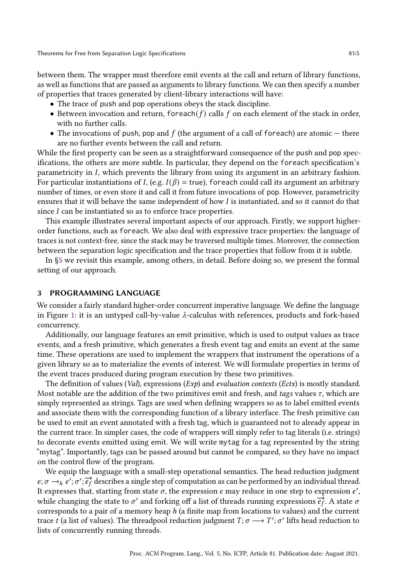between them. The wrapper must therefore emit events at the call and return of library functions, as well as functions that are passed as arguments to library functions. We can then specify a number of properties that traces generated by client-library interactions will have:

- The trace of push and pop operations obeys the stack discipline.
- Between invocation and return, for each  $(f)$  calls  $f$  on each element of the stack in order, with no further calls.
- The invocations of push, pop and  $f$  (the argument of a call of foreach) are atomic there are no further events between the call and return.

While the first property can be seen as a straightforward consequence of the push and pop specifications, the others are more subtle. In particular, they depend on the foreach specification's parametricity in I, which prevents the library from using its argument in an arbitrary fashion. For particular instantiations of I, (e.g.  $I(\beta) =$  true), for each could call its argument an arbitrary number of times, or even store it and call it from future invocations of pop. However, parametricity ensures that it will behave the same independent of how I is instantiated, and so it cannot do that since  $I$  can be instantiated so as to enforce trace properties.

This example illustrates several important aspects of our approach. Firstly, we support higherorder functions, such as foreach. We also deal with expressive trace properties: the language of traces is not context-free, since the stack may be traversed multiple times. Moreover, the connection between the separation logic specification and the trace properties that follow from it is subtle.

In [ğ5](#page-8-0) we revisit this example, among others, in detail. Before doing so, we present the formal setting of our approach.

# <span id="page-4-0"></span>3 PROGRAMMING LANGUAGE

We consider a fairly standard higher-order concurrent imperative language. We define the language in Figure [1:](#page-5-1) it is an untyped call-by-value  $\lambda$ -calculus with references, products and fork-based concurrency.

Additionally, our language features an emit primitive, which is used to output values as trace events, and a fresh primitive, which generates a fresh event tag and emits an event at the same time. These operations are used to implement the wrappers that instrument the operations of a given library so as to materialize the events of interest. We will formulate properties in terms of the event traces produced during program execution by these two primitives.

The definition of values (Val), expressions  $(Exp)$  and *evaluation contexts* (*Ectx*) is mostly standard. Most notable are the addition of the two primitives emit and fresh, and tags values  $\tau$ , which are simply represented as strings. Tags are used when defining wrappers so as to label emitted events and associate them with the corresponding function of a library interface. The fresh primitive can be used to emit an event annotated with a fresh tag, which is guaranteed not to already appear in the current trace. In simpler cases, the code of wrappers will simply refer to tag literals (i.e. strings) to decorate events emitted using emit. We will write mytag for a tag represented by the string "mytagž. Importantly, tags can be passed around but cannot be compared, so they have no impact on the control flow of the program.

We equip the language with a small-step operational semantics. The head reduction judgment  $e; \sigma \rightarrow_h e'; \sigma'; \overrightarrow{e_f}$  describes a single step of computation as can be performed by an individual thread. It expresses that, starting from state  $\sigma$ , the expression  $e$  may reduce in one step to expression  $e',$ while changing the state to  $\sigma'$  and forking off a list of threads running expressions  $\overrightarrow{ef}$ . A state  $\sigma$ corresponds to a pair of a memory heap  $h$  (a finite map from locations to values) and the current trace t (a list of values). The threadpool reduction judgment  $T; \sigma \longrightarrow T'; \sigma'$  lifts head reduction to lists of concurrently running threads.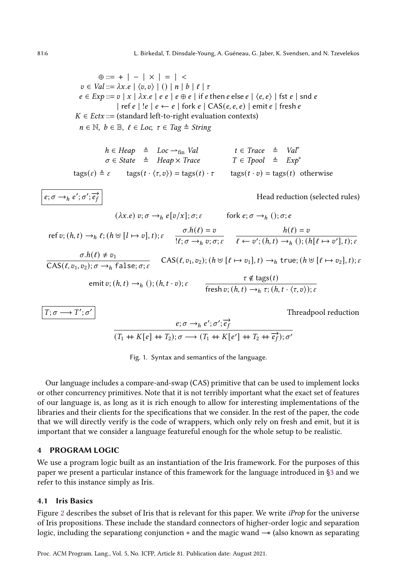<span id="page-5-1"></span> $\oplus ::= + | - | \times | = | <$  $v \in Val ::= \lambda x.e \mid \langle v, v \rangle \mid () \mid n \mid b \mid \ell \mid \tau$  $e \in Exp ::= v \mid x \mid \lambda x.e \mid e \mid e \oplus e \mid if e \text{ then } e \text{ else } e \mid \langle e, e \rangle \mid \text{fst } e \mid \text{snd } e$ | ref  $e$  | ! $e$  |  $e \leftarrow e$  | fork  $e$  | CAS( $e, e, e$ ) | emit  $e$  | fresh  $e$  $K \in Ectx ::=$  (standard left-to-right evaluation contexts)  $n \in \mathbb{N}, b \in \mathbb{B}, \ell \in Loc, \tau \in Tag \triangleq String$ 

$$
h \in \text{Heap} \quad \triangleq \quad \text{Loc} \rightarrow_{\text{fin}} \text{Val} \qquad \qquad t \in \text{Trace} \quad \triangleq \quad \text{Val}^* \\ \sigma \in \text{State} \quad \triangleq \quad \text{Heap} \times \text{Trace} \qquad \qquad T \in \text{Topol} \quad \triangleq \quad \text{Exp}^* \qquad \qquad
$$

 $\text{tags}(\varepsilon) \triangleq \varepsilon$  tags $(t \cdot \langle \tau, v \rangle) = \text{tags}(t) \cdot \tau$  tags $(t \cdot v) = \text{tags}(t)$  otherwise

 $e; \sigma \rightarrow_h e'; \sigma'; \overline{e}$ 

 $T: \sigma -$ 

 $^{\prime};\sigma$ 

Head reduction (selected rules)

′ Threadpool reduction

$$
(\lambda x.e) v; \sigma \to_h e[v/x]; \sigma; \varepsilon \quad \text{fork } e; \sigma \to_h (); \sigma; e
$$
\nref v;  $(h, t) \to_h f$ ;  $(h \uplus [l \mapsto v], t)$ ;  $\varepsilon \quad \frac{\sigma \cdot h(\ell) = v}{\{l; \sigma \to_h v; \sigma; \varepsilon} \quad \frac{h(\ell) = v}{\ell \leftarrow v'; (h, t) \to_h (); (h[\ell \mapsto v'], t); \varepsilon}$ \n
$$
\frac{\sigma \cdot h(\ell) \neq v_1}{\text{CAS}(\ell, v_1, v_2); \sigma \to_h \text{false}; \sigma; \varepsilon} \quad \text{CAS}(\ell, v_1, v_2); (h \uplus [\ell \mapsto v_1], t) \to_h \text{true}; (h \uplus [\ell \mapsto v_2], t); \varepsilon
$$
\n
$$
\text{emit } v; (h, t) \to_h (); (h, t \cdot v); \varepsilon \quad \frac{\tau \notin \text{tags}(t)}{\text{fresh } v; (h, t) \to_h \tau; (h, t \cdot \langle \tau, v \rangle); \varepsilon}
$$

$$
\frac{e;\sigma\rightarrow_h e';\sigma';\overrightarrow{e_f}}{(T_1+K[e]+T_2);\sigma\longrightarrow(T_1+K[e']+T_2+ \overrightarrow{e_f});\sigma'}
$$

Fig. 1. Syntax and semantics of the language.

Our language includes a compare-and-swap (CAS) primitive that can be used to implement locks or other concurrency primitives. Note that it is not terribly important what the exact set of features of our language is, as long as it is rich enough to allow for interesting implementations of the libraries and their clients for the specifications that we consider. In the rest of the paper, the code that we will directly verify is the code of wrappers, which only rely on fresh and emit, but it is important that we consider a language featureful enough for the whole setup to be realistic.

### <span id="page-5-0"></span>4 PROGRAM LOGIC

We use a program logic built as an instantiation of the Iris framework. For the purposes of this paper we present a particular instance of this framework for the language introduced in [ğ3](#page-4-0) and we refer to this instance simply as Iris.

## 4.1 Iris Basics

Figure [2](#page-6-0) describes the subset of Iris that is relevant for this paper. We write *iProp* for the universe of Iris propositions. These include the standard connectors of higher-order logic and separation logic, including the separationg conjunction ∗ and the magic wand −−∗ (also known as separating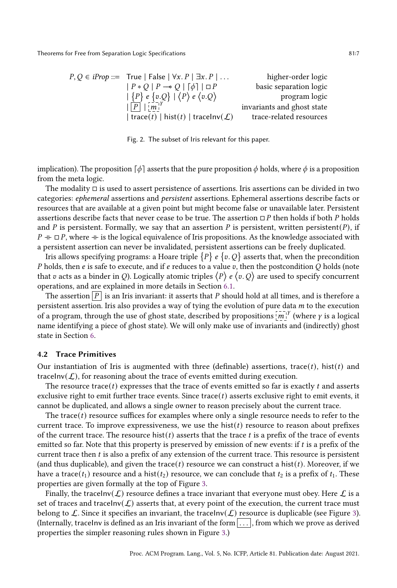<span id="page-6-0"></span>

| $P, Q \in iProp ::=$ True   False   $\forall x. P \mid \exists x. P \mid $ | higher-order logic         |
|----------------------------------------------------------------------------|----------------------------|
| $ P * Q   P \rightarrow Q   [\phi]   \Box P$                               | basic separation logic     |
| $ \{P\} e \{v.Q\}   \langle P \rangle e \langle v.Q \rangle$               | program logic              |
| $\lfloor P \rfloor \lfloor m \rfloor^{\gamma}$                             | invariants and ghost state |
| trace(t)   hist(t)   tracelnv( $\mathcal{L}$ )                             | trace-related resources    |

Fig. 2. The subset of Iris relevant for this paper.

implication). The proposition  $\lceil \phi \rceil$  asserts that the pure proposition  $\phi$  holds, where  $\phi$  is a proposition from the meta logic.

The modality □ is used to assert persistence of assertions. Iris assertions can be divided in two categories: ephemeral assertions and persistent assertions. Ephemeral assertions describe facts or resources that are available at a given point but might become false or unavailable later. Persistent assertions describe facts that never cease to be true. The assertion  $\Box P$  then holds if both P holds and P is persistent. Formally, we say that an assertion P is persistent, written persistent(P), if  $P \dashv\vdash ⊡ P$ , where  $\nvdash\vdash$  is the logical equivalence of Iris propositions. As the knowledge associated with a persistent assertion can never be invalidated, persistent assertions can be freely duplicated.

Iris allows specifying programs: a Hoare triple  $\{P\}$  e  $\{v, Q\}$  asserts that, when the precondition P holds, then  $e$  is safe to execute, and if  $e$  reduces to a value  $v$ , then the postcondition  $Q$  holds (note that v acts as a binder in Q). Logically atomic triples  $\langle P \rangle e \langle v, Q \rangle$  are used to specify concurrent operations, and are explained in more details in Section [6.1.](#page-18-0)

The assertion  $\boxed{P}$  is an Iris invariant: it asserts that P should hold at all times, and is therefore a persistent assertion. Iris also provides a way of tying the evolution of pure data  $m$  to the execution of a program, through the use of ghost state, described by propositions  $\overline{[m]}^{\gamma}$  (where  $\gamma$  is a logical name identifying a piece of ghost state). We will only make use of invariants and (indirectly) ghost state in Section [6.](#page-17-0)

### 4.2 Trace Primitives

Our instantiation of Iris is augmented with three (definable) assertions, trace(t), hist(t) and traceInv( $\mathcal{L}$ ), for reasoning about the trace of events emitted during execution.

The resource trace(t) expresses that the trace of events emitted so far is exactly t and asserts exclusive right to emit further trace events. Since trace( $t$ ) asserts exclusive right to emit events, it cannot be duplicated, and allows a single owner to reason precisely about the current trace.

The trace( $t$ ) resource suffices for examples where only a single resource needs to refer to the current trace. To improve expressiveness, we use the  $hist(t)$  resource to reason about prefixes of the current trace. The resource hist( $t$ ) asserts that the trace  $t$  is a prefix of the trace of events emitted so far. Note that this property is preserved by emission of new events: if  $t$  is a prefix of the current trace then  $t$  is also a prefix of any extension of the current trace. This resource is persistent (and thus duplicable), and given the trace(t) resource we can construct a hist(t). Moreover, if we have a trace( $t_1$ ) resource and a hist( $t_2$ ) resource, we can conclude that  $t_2$  is a prefix of  $t_1$ . These properties are given formally at the top of Figure [3.](#page-7-1)

Finally, the traceInv( $\mathcal{L}$ ) resource defines a trace invariant that everyone must obey. Here  $\mathcal{L}$  is a set of traces and traceInv( $\mathcal{L}$ ) asserts that, at every point of the execution, the current trace must belong to  $\mathcal L$ . Since it specifies an invariant, the traceInv( $\mathcal L$ ) resource is duplicable (see Figure [3\)](#page-7-1). (Internally, traceInv is defined as an Iris invariant of the form  $\dots$ ), from which we prove as derived properties the simpler reasoning rules shown in Figure [3.](#page-7-1))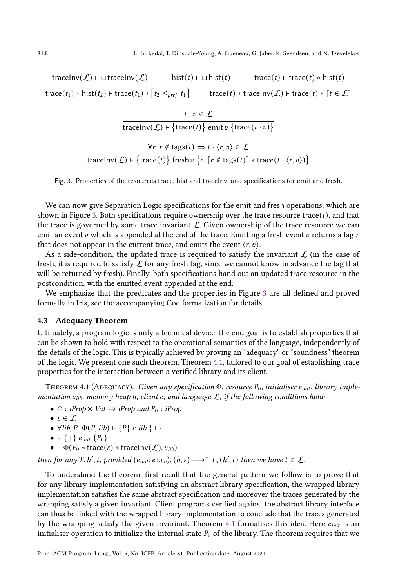<span id="page-7-1"></span>traceInv $(\mathcal{L})$  ⊢ □ traceInv $(\mathcal{L})$  hist $(t)$  ⊢ □ hist $(t)$  trace $(t)$  + trace $(t)$  \* hist $(t)$ trace $(t_1)$  ∗ hist $(t_2)$  ⊢ trace $(t_1)$  \*  $\lceil t_2 \leq_{pref} t_1 \rceil$  trace $(t)$  \* traceInv $(\mathcal{L})$  ⊢ trace $(t)$  \*  $\lceil t \in \mathcal{L} \rceil$ 

$$
t \cdot v \in \mathcal{L}
$$
  
tracelnv( $\mathcal{L}$ ) + {trace(t)} emit v {trace(t \cdot v)}  

$$
\forall r. r \notin tags(t) \Rightarrow t \cdot \langle r, v \rangle \in \mathcal{L}
$$
  
tracelnv( $\mathcal{L}$ ) + {trace(t)} fresh v {r. [r  $\notin tags(t)$ ] \* trace(t \cdot \langle r, v \rangle)}

Fig. 3. Properties of the resources trace, hist and traceInv, and specifications for emit and fresh.

We can now give Separation Logic specifications for the emit and fresh operations, which are shown in Figure [3.](#page-7-1) Both specifications require ownership over the trace resource trace( $t$ ), and that the trace is governed by some trace invariant  $\mathcal{L}$ . Given ownership of the trace resource we can emit an event  $v$  which is appended at the end of the trace. Emitting a fresh event  $v$  returns a tag  $r$ that does not appear in the current trace, and emits the event  $\langle r, v \rangle$ .

As a side-condition, the updated trace is required to satisfy the invariant  $\mathcal L$  (in the case of fresh, it is required to satisfy  $\mathcal L$  for any fresh tag, since we cannot know in advance the tag that will be returned by fresh). Finally, both specifications hand out an updated trace resource in the postcondition, with the emitted event appended at the end.

We emphasize that the predicates and the properties in Figure [3](#page-7-1) are all defined and proved formally in Iris, see the accompanying Coq formalization for details.

## 4.3 Adequacy Theorem

Ultimately, a program logic is only a technical device: the end goal is to establish properties that can be shown to hold with respect to the operational semantics of the language, independently of the details of the logic. This is typically achieved by proving an "adequacy" or "soundness" theorem of the logic. We present one such theorem, Theorem [4.1,](#page-7-0) tailored to our goal of establishing trace properties for the interaction between a verified library and its client.

<span id="page-7-0"></span>THEOREM 4.1 (ADEQUACY). Given any specification  $\Phi$ , resource  $P_0$ , initialiser  $e_{init}$ , library implementation  $v_{lib}$ , memory heap h, client e, and language  $\mathcal{L}$ , if the following conditions hold:

•  $\Phi$  : iProp  $\times$  Val  $\rightarrow$  iProp and  $P_0$  : iProp

$$
\bullet\ \varepsilon \in \mathcal{L}
$$

• 
$$
\forall
$$
 lib, P.  $\Phi(P, lib) \vdash \{P\}$  e lib  $\{\top\}$ 

$$
\bullet \ \vdash \{\top\} \ e_{init} \ \{P_0\}
$$

•  $\vdash \Phi(P_0 * \text{trace}(\varepsilon) * \text{trace}(\mathcal{L}), v_{lib})$ 

then for any T, h', t, provided  $(e_{\text{init}}; e \, v_{\text{lib}}), (h, \varepsilon) \longrightarrow^* T, (h', t)$  then we have  $t \in \mathcal{L}$ .

To understand the theorem, first recall that the general pattern we follow is to prove that for any library implementation satisfying an abstract library specification, the wrapped library implementation satisfies the same abstract specification and moreover the traces generated by the wrapping satisfy a given invariant. Client programs verified against the abstract library interface can thus be linked with the wrapped library implementation to conclude that the traces generated by the wrapping satisfy the given invariant. Theorem [4.1](#page-7-0) formalises this idea. Here  $e_{init}$  is an initialiser operation to initialize the internal state  $P_0$  of the library. The theorem requires that we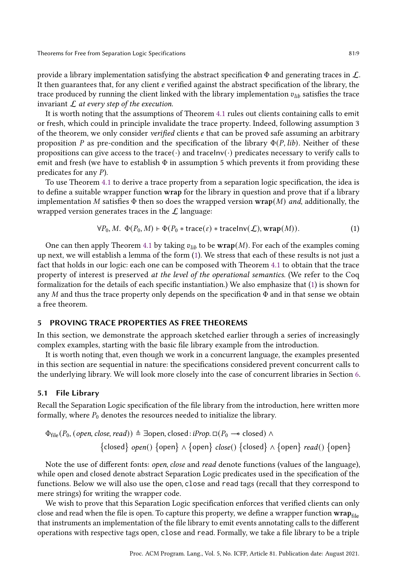provide a library implementation satisfying the abstract specification  $\Phi$  and generating traces in  $\mathcal{L}$ . It then guarantees that, for any client  $e$  verified against the abstract specification of the library, the trace produced by running the client linked with the library implementation  $v_{lib}$  satisfies the trace invariant  $\mathcal L$  at every step of the execution.

It is worth noting that the assumptions of Theorem [4.1](#page-7-0) rules out clients containing calls to emit or fresh, which could in principle invalidate the trace property. Indeed, following assumption 3 of the theorem, we only consider *verified* clients  $e$  that can be proved safe assuming an arbitrary proposition P as pre-condition and the specification of the library  $\Phi(P, lib)$ . Neither of these propositions can give access to the trace( $\cdot$ ) and traceInv( $\cdot$ ) predicates necessary to verify calls to emit and fresh (we have to establish  $\Phi$  in assumption 5 which prevents it from providing these predicates for any  $P$ ).

To use Theorem [4.1](#page-7-0) to derive a trace property from a separation logic specification, the idea is to define a suitable wrapper function wrap for the library in question and prove that if a library implementation M satisfies  $\Phi$  then so does the wrapped version wrap(M) and, additionally, the wrapped version generates traces in the  $\mathcal L$  language:

<span id="page-8-1"></span>
$$
\forall P_0, M. \ \Phi(P_0, M) \vdash \Phi(P_0 * \text{trace}(\varepsilon) * \text{trace}(\mathcal{L}), \text{wrap}(M)). \tag{1}
$$

One can then apply Theorem [4.1](#page-7-0) by taking  $v_{lib}$  to be wrap(M). For each of the examples coming up next, we will establish a lemma of the form [\(1\)](#page-8-1). We stress that each of these results is not just a fact that holds in our logic: each one can be composed with Theorem [4.1](#page-7-0) to obtain that the trace property of interest is preserved at the level of the operational semantics. (We refer to the Coq formalization for the details of each specific instantiation.) We also emphasize that [\(1\)](#page-8-1) is shown for any  $M$  and thus the trace property only depends on the specification  $\Phi$  and in that sense we obtain a free theorem.

#### <span id="page-8-0"></span>5 PROVING TRACE PROPERTIES AS FREE THEOREMS

In this section, we demonstrate the approach sketched earlier through a series of increasingly complex examples, starting with the basic file library example from the introduction.

It is worth noting that, even though we work in a concurrent language, the examples presented in this section are sequential in nature: the specifications considered prevent concurrent calls to the underlying library. We will look more closely into the case of concurrent libraries in Section [6.](#page-17-0)

#### <span id="page-8-2"></span>5.1 File Library

Recall the Separation Logic specification of the file library from the introduction, here written more formally, where  $P_0$  denotes the resources needed to initialize the library.

$$
\Phi_{file}(P_0, (open, close, read)) \triangleq \exists open, closed : iProp. \Box(P_0 \rightarrow closed) \land \n{closed} \cdot open() \{open) \land \{open\} \cdot close() \{closed\} \land \{open\} \cdot read() \{open\}
$$

Note the use of different fonts: *open, close* and *read* denote functions (values of the language), while open and closed denote abstract Separation Logic predicates used in the specification of the functions. Below we will also use the open, close and read tags (recall that they correspond to mere strings) for writing the wrapper code.

We wish to prove that this Separation Logic specification enforces that verified clients can only close and read when the file is open. To capture this property, we define a wrapper function  $\bf{wrap}_{\rm file}$ that instruments an implementation of the file library to emit events annotating calls to the different operations with respective tags open, close and read. Formally, we take a file library to be a triple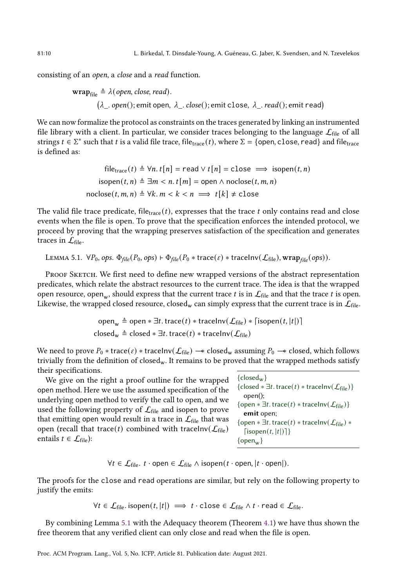consisting of an open, a close and a read function.

$$
\mathbf{wrap}_{file} \triangleq \lambda(open, close, read).
$$
  

$$
(\lambda_{-} . open); emit open, \lambda_{-} . close(); emit close, \lambda_{-} . read();emit read)
$$

We can now formalize the protocol as constraints on the traces generated by linking an instrumented file library with a client. In particular, we consider traces belonging to the language  $\mathcal{L}_{\text{file}}$  of all strings  $t \in \Sigma^*$  such that t is a valid file trace, file<sub>trace</sub> (t), where  $\Sigma = \{$  open, close, read} and file<sub>trace</sub> is defined as:

> file<sub>trace</sub>  $(t) \triangleq \forall n. t[n] =$  read  $\vee t[n] =$  close  $\implies$  isopen $(t, n)$  $isopen(t, n) \triangleq \exists m < n$ .  $t[m] = open \land node(t, m, n)$  $\text{nodes}(t, m, n) \triangleq \forall k. m < k < n \implies t[k] \neq \text{close}$

The valid file trace predicate, file<sub>trace</sub>  $(t)$ , expresses that the trace  $t$  only contains read and close events when the file is open. To prove that the specification enforces the intended protocol, we proceed by proving that the wrapping preserves satisfaction of the specification and generates traces in  $\mathcal{L}_{\text{file}}$ .

<span id="page-9-0"></span>LEMMA 5.1. 
$$
\forall P_0
$$
, ops.  $\Phi_{file}(P_0, ops) \vdash \Phi_{file}(P_0 * trace(\varepsilon) * traceInv(\mathcal{L}_{file}), wrap_{file}(ops)).$ 

PROOF SKETCH. We first need to define new wrapped versions of the abstract representation predicates, which relate the abstract resources to the current trace. The idea is that the wrapped open resource, open $_{\rm w}$ , should express that the current trace  $t$  is in  $\mathcal{L}_{\rm file}$  and that the trace  $t$  is open. Likewise, the wrapped closed resource, closed<sub>w</sub> can simply express that the current trace is in  $\mathcal{L}_{\text{file}}$ .

> open<sub>w</sub>  $\triangleq$  open  $* \exists t$ . trace(t)  $*$  traceInv( $\mathcal{L}_{file}$ )  $*$  [isopen(t, |t|)] closed<sub>w</sub>  $\triangleq$  closed  $* \exists t$ . trace(t)  $*$  traceInv( $\mathcal{L}_{file}$ )

We need to prove  $P_0$  ∗ trace( $\varepsilon$ ) ∗ traceInv( $\mathcal{L}_{file}$ )  $-*$  closed<sub>w</sub> assuming  $P_0$   $-*$  closed, which follows trivially from the definition of closed<sub>w</sub>. It remains to be proved that the wrapped methods satisfy their specifications.

We give on the right a proof outline for the wrapped open method. Here we use the assumed specification of the underlying open method to verify the call to open, and we used the following property of  $\mathcal{L}_{file}$  and isopen to prove that emitting open would result in a trace in  $\mathcal{L}_{\text{file}}$  that was open (recall that trace(*t*) combined with traceInv( $\mathcal{L}_{file}$ ) entails  $t \in \mathcal{L}_{file}$ :

| ${close_w}$                                                                   |
|-------------------------------------------------------------------------------|
| {closed $* \exists t$ . trace(t) $*$ tracelnv( $\mathcal{L}_{file}$ )}        |
| $open()$ :                                                                    |
| {open $*\exists t$ . trace(t) $*\text{trace}(\mathcal{L}_{\text{file}})$ }    |
| emit open;                                                                    |
| {open $*\exists t$ . trace(t) $*$ tracelnv( $\mathcal{L}_{\text{file}}$ ) $*$ |
| $[isopen(t,  t )]\}$                                                          |
| $\{open_{w}\}\$                                                               |
|                                                                               |

 $\forall t \in \mathcal{L}_{file}$ .  $t \cdot$  open  $\in \mathcal{L}_{file} \wedge isopen(t \cdot open, |t \cdot open|)$ .

The proofs for the close and read operations are similar, but rely on the following property to justify the emits:

$$
\forall t \in \mathcal{L}_{file}. \text{ isopen}(t, |t|) \implies t \cdot \text{close} \in \mathcal{L}_{file} \land t \cdot \text{read} \in \mathcal{L}_{file}.
$$

By combining Lemma [5.1](#page-9-0) with the Adequacy theorem (Theorem [4.1\)](#page-7-0) we have thus shown the free theorem that any verified client can only close and read when the file is open.

Proc. ACM Program. Lang., Vol. 5, No. ICFP, Article 81. Publication date: August 2021.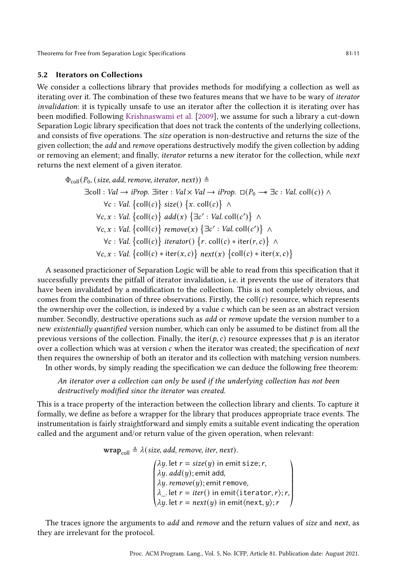## <span id="page-10-0"></span>5.2 Iterators on Collections

We consider a collections library that provides methods for modifying a collection as well as iterating over it. The combination of these two features means that we have to be wary of iterator invalidation: it is typically unsafe to use an iterator after the collection it is iterating over has been modified. Following [Krishnaswami et al.](#page-28-7) [\[2009\]](#page-28-7), we assume for such a library a cut-down Separation Logic library specification that does not track the contents of the underlying collections, and consists of five operations. The size operation is non-destructive and returns the size of the given collection; the *add* and *remove* operations destructively modify the given collection by adding or removing an element; and finally, iterator returns a new iterator for the collection, while next returns the next element of a given iterator.

$$
\Phi_{\text{coll}}(P_0, (\text{size}, \text{add}, \text{remove}, \text{iterator}, \text{next})) \triangleq
$$
\n
$$
\exists \text{coll} : \text{Val} \rightarrow \text{iProp}. \exists \text{iter} : \text{Val} \times \text{Val} \rightarrow \text{iProp}. \Box(P_0 \rightarrow \exists c : \text{Val}, \text{coll}(c)) \land
$$
\n
$$
\forall c : \text{Val} \{\text{coll}(c)\} \text{ size}() \{x. \text{ coll}(c)\} \land
$$
\n
$$
\forall c, x : \text{Val} \{\text{coll}(c)\} \text{ add}(x) \{\exists c' : \text{Val}.\text{coll}(c')\} \land
$$
\n
$$
\forall c, x : \text{Val} \{\text{coll}(c)\} \text{ remove}(x) \{\exists c' : \text{Val}.\text{coll}(c')\} \land
$$
\n
$$
\forall c : \text{Val} \{\text{coll}(c)\} \text{ iterator}(f \cap \{r, \text{coll}(c) * \text{iter}(r, c)\} \land
$$
\n
$$
\forall c, x : \text{Val} \{\text{coll}(c) * \text{iter}(x, c)\} \text{ next}(x) \{\text{coll}(c) * \text{iter}(x, c)\}
$$

A seasoned practicioner of Separation Logic will be able to read from this specification that it successfully prevents the pitfall of iterator invalidation, i.e. it prevents the use of iterators that have been invalidated by a modification to the collection. This is not completely obvious, and comes from the combination of three observations. Firstly, the coll $(c)$  resource, which represents the ownership over the collection, is indexed by a value  $c$  which can be seen as an abstract version number. Secondly, destructive operations such as *add* or *remove* update the version number to a new existentially quantified version number, which can only be assumed to be distinct from all the previous versions of the collection. Finally, the iter( $p, c$ ) resource expresses that  $p$  is an iterator over a collection which was at version  $c$  when the iterator was created; the specification of *next* then requires the ownership of both an iterator and its collection with matching version numbers.

In other words, by simply reading the specification we can deduce the following free theorem:

An iterator over a collection can only be used if the underlying collection has not been destructively modified since the iterator was created.

This is a trace property of the interaction between the collection library and clients. To capture it formally, we define as before a wrapper for the library that produces appropriate trace events. The instrumentation is fairly straightforward and simply emits a suitable event indicating the operation called and the argument and/or return value of the given operation, when relevant:

$$
\mathbf{wrap}_{\text{coll}} \triangleq \lambda (size, add, remove, iter, next).
$$

 $\Bigg\}$ «  $\lambda y$ . let  $r = size(y)$  in emit size; r,  $\lambda y. add(y);$ emit add,  $\lambda y$ .  $remove(y)$ ; emit remove,  $\lambda$ <sub>--</sub> let  $r = iter()$  in emit $\langle$ iterator,  $r \rangle$ ;  $r$ ,  $\lambda y$ . let  $r = next(y)$  in emit $\langle$ next,  $y \rangle$ ; r  $\begin{array}{c} \hline \end{array}$  $\overline{a}$ 

The traces ignore the arguments to *add* and *remove* and the return values of *size* and *next*, as they are irrelevant for the protocol.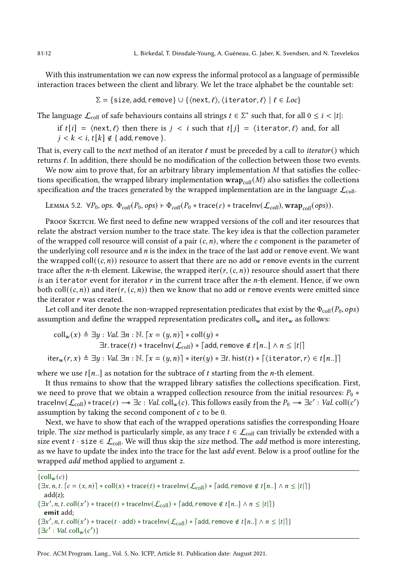With this instrumentation we can now express the informal protocol as a language of permissible interaction traces between the client and library. We let the trace alphabet be the countable set:

$$
\Sigma = \{ \text{size}, \text{add}, \text{remove} \} \cup \{ \langle \text{next}, \ell \rangle, \langle \text{iterator}, \ell \rangle \mid \ell \in Loc \}
$$

The language  $\mathcal{L}_{\text{coll}}$  of safe behaviours contains all strings  $t \in \Sigma^*$  such that, for all  $0 \leq i < |t|$ :

if  $t[i] = \langle \text{next}, \ell \rangle$  then there is  $j < i$  such that  $t[j] = \langle \text{iterator}, \ell \rangle$  and, for all  $j < k < i$ ,  $t[k] \notin \{$  add, remove  $\}$ .

That is, every call to the next method of an iterator  $\ell$  must be preceded by a call to *iterator*() which returns ℓ. In addition, there should be no modification of the collection between those two events.

We now aim to prove that, for an arbitrary library implementation  $M$  that satisfies the collections specification, the wrapped library implementation  $\text{wrap}_{\text{coll}}(M)$  also satisfies the collections specification *and* the traces generated by the wrapped implementation are in the language  $\mathcal{L}_{\text{coll}}$ .

LEMMA 5.2.  $\forall P_0$ , ops.  $\Phi_{coll}(P_0, ops) \vdash \Phi_{coll}(P_0 * trace(\varepsilon) * traceInv(\mathcal{L}_{coll}), wrap_{coll}(ops)).$ 

PROOF SKETCH. We first need to define new wrapped versions of the coll and iter resources that relate the abstract version number to the trace state. The key idea is that the collection parameter of the wrapped coll resource will consist of a pair  $(c, n)$ , where the  $c$  component is the parameter of the underlying coll resource and  $n$  is the index in the trace of the last add or remove event. We want the wrapped coll $((c, n))$  resource to assert that there are no add or remove events in the current trace after the *n*-th element. Likewise, the wrapped iter( $r$ ,  $(c, n)$ ) resource should assert that there is an iterator event for iterator  $r$  in the current trace after the  $n$ -th element. Hence, if we own both coll $((c, n))$  and iter(r,  $(c, n)$ ) then we know that no add or remove events were emitted since the iterator  $r$  was created.

Let coll and iter denote the non-wrapped representation predicates that exist by the  $\Phi_{\text{coll}}(P_0, \rho ps)$ assumption and define the wrapped representation predicates  $\text{coll}_w$  and iter<sub>w</sub> as follows:

$$
\text{coll}_{w}(x) \triangleq \exists y : Val \exists n : \mathbb{N}. \ [x = (y, n)] * \text{coll}(y) * \n\exists t. \ \text{trace}(t) * \text{trace}(\mathcal{L}_{\text{coll}}) * [add, \text{remove } \notin t[n..] \land n \leq |t|] \n\text{iter}_{w}(r, x) \triangleq \exists y : Val \exists n : \mathbb{N}. \ [x = (y, n)] * \text{iter}(y) * \exists t. \ \text{hist}(t) * [\text{iterator}, r) \in t[n..]
$$

where we use  $t[n]$  as notation for the subtrace of  $t$  starting from the *n*-th element.

It thus remains to show that the wrapped library satisfies the collections specification. First, we need to prove that we obtain a wrapped collection resource from the initial resources:  $P_0 *$ traceInv $(\mathcal{L}_{\text{coll}}) * \text{trace}(\varepsilon) \to \exists c : \text{Val.} \text{coll}_{w}(c)$ . This follows easily from the  $P_0 \to \exists c' : \text{Val.} \text{coll}(c')$ assumption by taking the second component of  $c$  to be 0.

Next, we have to show that each of the wrapped operations satisfies the corresponding Hoare triple. The size method is particularly simple, as any trace  $t \in \mathcal{L}_{\text{coll}}$  can trivially be extended with a size event  $t \cdot$  size  $\in \mathcal{L}_{\text{coll}}$ . We will thus skip the size method. The *add* method is more interesting, as we have to update the index into the trace for the last add event. Below is a proof outline for the wrapped *add* method applied to argument z.

 ${coll}_w(c)$  $\{\exists x, n, t. [c = (x, n)] * \text{coll}(x) * \text{trace}(t) * \text{trace}(\mathcal{L}_{\text{coll}}) * [\text{add}, \text{remove} \notin t[n.]\} \wedge n \leq |t| \}$ add(z);  $\{\exists x', n, t.\text{coll}(x') * \text{trace}(t) * \text{trace}(\mathcal{L}_{\text{coll}}) * \lceil \text{add}, \text{remove} \notin t[n..] \land n \leq |t| \}]$ emit add;  $\{\exists x', n, t.\, \text{coll}(x') * \text{trace}(t \cdot \text{add}) * \text{trace}(\mathcal{L}_{\text{coll}}) * \lceil \text{add}, \text{remove} \notin t[n..] \land n \leq |t| \rceil \}$  $\{\exists c': Val.\, coll_w(c')\}$ 

Proc. ACM Program. Lang., Vol. 5, No. ICFP, Article 81. Publication date: August 2021.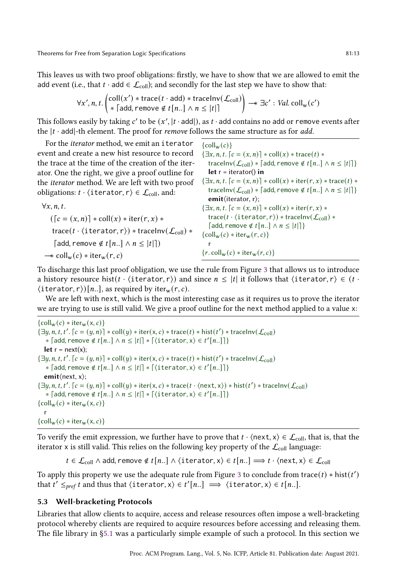This leaves us with two proof obligations: firstly, we have to show that we are allowed to emit the add event (i.e., that  $t \cdot \text{add} \in \mathcal{L}_{\text{coll}}$ ); and secondly for the last step we have to show that:

$$
\forall x', n, t. \left( \begin{matrix} \text{coll}(x') * \text{trace}(t \cdot \text{add}) * \text{trace}(\mathcal{L}_{\text{coll}}) \\ * \end{matrix} \right) \longrightarrow \exists c' : \text{Val} \text{ coll}_{w}(c')
$$

This follows easily by taking c' to be  $(x', |t \cdot add|)$ , as  $t \cdot add$  contains no add or remove events after the  $|t \cdot \text{add}|\text{-th element.}$  The proof for *remove* follows the same structure as for *add*.

 ${coll}_w(c)$ 

let  $r = iterator()$  in

 $\{\exists x, n, t. \, \lceil c = (x, n) \rceil * \text{coll}(x) * \text{trace}(t) *$ 

traceInv $(\mathcal{L}_{\text{coll}})$  \* [add, remove  $\notin t[n..] \wedge n \leq |t|$ ]}

 $\{\exists x, n, t. \, \lceil c = (x, n) \rceil * \text{coll}(x) * \text{iter}(r, x) * \text{trace}(t) *$ 

For the iterator method, we emit an iterator event and create a new hist resource to record the trace at the time of the creation of the iterator. One the right, we give a proof outline for the iterator method. We are left with two proof obligations:  $t \cdot \langle$  iterator,  $r \rangle \in \mathcal{L}_{\text{coll}}$ , and:

traceInv $(\mathcal{L}_{\text{coll}})$  \* [add, remove  $\notin t[n..] \wedge n \leq |t|$ ]} emit⟨iterator, r⟩;  ${\exists x, n, t. \, [c = (x, n)] * coll(x) * iter(r, x) * }$ trace( $t \cdot \langle$ iterator, r $\rangle$ ) \* traceInv( $\mathcal{L}_{\text{coll}}$ ) \* [add, remove ∉  $t[n..]$  ∧  $n \leq |t|$ ]}  $\{\text{coll}_w(c) * \text{iter}_w(r, c)\}\$ r  ${r \cdot \text{coll}_w(c) * \text{iter}_w(r, c)}$  $\forall x, n, t$ .  $([c = (x, n)] * \text{coll}(x) * \text{iter}(r, x) *$ trace( $t \cdot$ (iterator, r)) \* traceInv( $\mathcal{L}_{\text{coll}}$ ) \* [add, remove ∉  $t[n..]$  ∧  $n \leq |t|$ ])  $\rightarrow$  coll<sub>w</sub> $(c)$  ∗ iter<sub>w</sub> $(r, c)$ 

To discharge this last proof obligation, we use the rule from Figure [3](#page-7-1) that allows us to introduce a history resource hist( $t \cdot \langle$  iterator, r $\rangle$ ) and since  $n \leq |t|$  it follows that  $\langle$  iterator, r $\rangle \in (t \cdot$  $\langle$  iterator, r $\rangle$ ) [n..], as required by iter<sub>w</sub>(r, c).

We are left with next, which is the most interesting case as it requires us to prove the iterator we are trying to use is still valid. We give a proof outline for the next method applied to a value x:

```
\{\text{coll}_w(c) * \text{iter}_w(x, c)\}\\{\exists y, n, t, t'. \left\lceil c = (y, n) \right\rceil * \text{coll}(y) * \text{iter}(x, c) * \text{trace}(t) * \text{hist}(t') * \text{trace}(\text{Inv}(\mathcal{L}_{\text{coll}}))\}* [add, remove ∉ t[n..] \wedge n \leq |t|] * [\langleiterator, x\rangle \in t'[n..]]}
   let r = \text{next}(x);
\{\exists y, n, t, t'. \left\lceil c = (y, n) \right\rceil * \text{coll}(y) * \text{iter}(x, c) * \text{trace}(t) * \text{hist}(t') * \text{trace}(\mathcal{L}_{\text{coll}})* [add, remove ∉ t[n..] \wedge n \leq |t|] * [\langleiterator, x\rangle \in t'[n..]]}
   emit⟨next, x⟩;
\{\exists y, n, t, t'. \lceil c = (y, n) \rceil * \text{coll}(y) * \text{iter}(x, c) * \text{trace}(t \cdot \langle \text{next}, x \rangle) * \text{hist}(t') * \text{trace} \text{Inv}(\mathcal{L}_{\text{coll}})* [add, remove \notin t[n..] \land n \leq |t|] * [ \langle iterator, x \rangle \in t'[n..]] \}\{\text{coll}_w(c) * \text{iter}_w(x, c)\}\r
{coll_w(c) * iter_w(x, c)}
```
To verify the emit expression, we further have to prove that  $t \cdot \langle \text{next}, x \rangle \in \mathcal{L}_{\text{coll}}$ , that is, that the iterator x is still valid. This relies on the following key property of the  $\mathcal{L}_{\text{coll}}$  language:

 $t \in \mathcal{L}_{\text{coll}} \wedge \text{add}, \text{remove } \notin t[n..] \wedge \langle \text{iterator}, x \rangle \in t[n..] \Longrightarrow t \cdot \langle \text{next}, x \rangle \in \mathcal{L}_{\text{coll}}$ 

To apply this property we use the adequate rule from Figure [3](#page-7-1) to conclude from trace(t) \* hist(t') that  $t' \leq_{pref} t$  and thus that  $\langle \text{iterator}, x \rangle \in t'[n..] \implies \langle \text{iterator}, x \rangle \in t[n..].$ 

## <span id="page-12-0"></span>5.3 Well-bracketing Protocols

Libraries that allow clients to acquire, access and release resources often impose a well-bracketing protocol whereby clients are required to acquire resources before accessing and releasing them. The file library in [ğ5.1](#page-8-2) was a particularly simple example of such a protocol. In this section we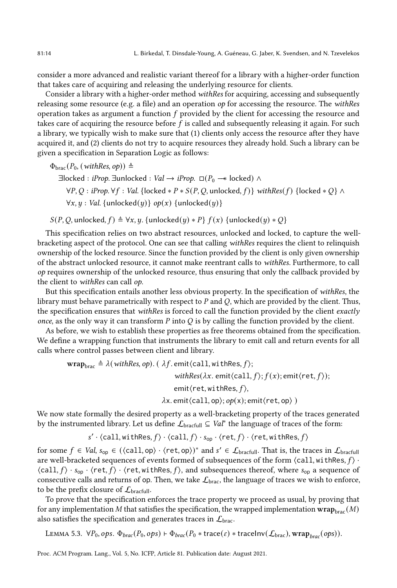consider a more advanced and realistic variant thereof for a library with a higher-order function that takes care of acquiring and releasing the underlying resource for clients.

Consider a library with a higher-order method withRes for acquiring, accessing and subsequently releasing some resource (e.g. a file) and an operation op for accessing the resource. The withRes operation takes as argument a function  $f$  provided by the client for accessing the resource and takes care of acquiring the resource before  $f$  is called and subsequently releasing it again. For such a library, we typically wish to make sure that (1) clients only access the resource after they have acquired it, and (2) clients do not try to acquire resources they already hold. Such a library can be given a specification in Separation Logic as follows:

 $\Phi_{\text{brac}}(P_0, (\text{withRes}, \text{op})) \triangleq$ 

∃locked : *iProp*. ∃unlocked : *Val*  $\rightarrow$  *iProp*. □( $P_0 \rightarrow$  locked) ∧  $\forall P, Q : iProp. \forall f : Val.$  {locked  $* P * S(P, Q,$  unlocked, f)} withRes(f) {locked  $* Q$ } ∧  $\forall x, y : Val.$  {unlocked(y)} op(x) {unlocked(y)}

 $S(P, Q, \text{unlocked}, f) \triangleq \forall x, y$ . {unlocked(y) \* P}  $f(x)$  {unlocked(y) \* Q}

This specification relies on two abstract resources, unlocked and locked, to capture the wellbracketing aspect of the protocol. One can see that calling withRes requires the client to relinquish ownership of the locked resource. Since the function provided by the client is only given ownership of the abstract unlocked resource, it cannot make reentrant calls to withRes. Furthermore, to call op requires ownership of the unlocked resource, thus ensuring that only the callback provided by the client to withRes can call op.

But this specification entails another less obvious property. In the specification of withRes, the library must behave parametrically with respect to  $P$  and  $Q$ , which are provided by the client. Thus, the specification ensures that withRes is forced to call the function provided by the client exactly once, as the only way it can transform  $P$  into  $Q$  is by calling the function provided by the client.

As before, we wish to establish these properties as free theorems obtained from the specification. We define a wrapping function that instruments the library to emit call and return events for all calls where control passes between client and library.

$$
\begin{aligned}\n\textbf{wrap}_{\text{brac}} &\triangleq \lambda(\textit{withRes}, op).(\lambda f.\textit{emit}\langle \text{call}, \text{withRes}, f \rangle; \\
& \text{withRes}(\lambda x.\text{ emit}\langle \text{call}, f \rangle; f(x);\text{emit}\langle \text{ret}, f \rangle); \\
& \text{emit}\langle \text{ret}, \text{withRes}, f \rangle, \\
& \lambda x.\text{emit}\langle \text{call}, \text{op} \rangle; op(x);\text{emit}\langle \text{ret}, \text{op} \rangle)\n\end{aligned}
$$

We now state formally the desired property as a well-bracketing property of the traces generated by the instrumented library. Let us define  $\mathcal{L}_{\text{bractull}} \subseteq \textit{Val}^*$  the language of traces of the form:

$$
s' \cdot \langle \text{call}, \text{withRes}, f \rangle \cdot \langle \text{call}, f \rangle \cdot s_{\text{op}} \cdot \langle \text{ret}, f \rangle \cdot \langle \text{ret}, \text{withRes}, f \rangle
$$

for some  $f \in Val$ ,  $s_{op} \in (\langle call, op \rangle \cdot \langle ret, op \rangle)^*$  and  $s' \in \mathcal{L}_{bractull}$ . That is, the traces in  $\mathcal{L}_{bractull}$ are well-bracketed sequences of events formed of subsequences of the form  $\langle$ call, withRes,  $f \rangle \cdot$  $\langle \text{call}, f \rangle \cdot s_{\text{op}} \cdot \langle \text{ret}, f \rangle \cdot \langle \text{ret}, \text{withRes}, f \rangle$ , and subsequences thereof, where  $s_{\text{op}}$  a sequence of consecutive calls and returns of op. Then, we take  $\mathcal{L}_{\text{brac}}$ , the language of traces we wish to enforce, to be the prefix closure of  $\mathcal{L}_{\text{bractull}}$ .

To prove that the specification enforces the trace property we proceed as usual, by proving that for any implementation M that satisfies the specification, the wrapped implementation  $\text{wrap}_{\text{bare}}(M)$ also satisfies the specification and generates traces in  $\mathcal{L}_{\text{brac}}$ .

LEMMA 5.3.  $\forall P_0, ops. \Phi_{brac}(P_0, ops) \vdash \Phi_{brac}(P_0 * trace(\varepsilon) * tracelnv(\mathcal{L}_{brac}), wrap_{brac}(ops)).$ 

Proc. ACM Program. Lang., Vol. 5, No. ICFP, Article 81. Publication date: August 2021.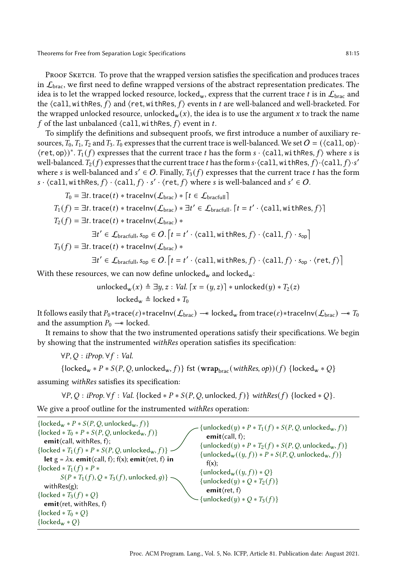in  $\mathcal{L}_{\text{brac}}$ , we first need to define wrapped versions of the abstract representation predicates. The idea is to let the wrapped locked resource, locked<sub>w</sub>, express that the current trace t is in  $\mathcal{L}_{\text{brac}}$  and the  $\langle$ call, withRes,  $f$  and  $\langle$ ret, withRes,  $f$  events in  $t$  are well-balanced and well-bracketed. For the wrapped unlocked resource, unlocked<sub>w</sub>(x), the idea is to use the argument x to track the name f of the last unbalanced  $\langle$  call, withRes,  $f$  event in t.

To simplify the definitions and subsequent proofs, we first introduce a number of auxiliary resources,  $T_0$ ,  $T_1$ ,  $T_2$  and  $T_3$ .  $T_0$  expresses that the current trace is well-balanced. We set  $O = (\langle \text{call}, \text{op} \rangle \cdot$  $\langle \textsf{ret}, \textsf{op} \rangle \rangle^*$ .  $T_1(f)$  expresses that the current trace t has the form  $s \cdot \langle \textsf{call}, \textsf{withRes}, f \rangle$  where s is well-balanced.  $T_2(f)$  expresses that the current trace  $t$  has the form  $s \cdot \langle \textsf{call}, \textsf{withRes}, f \rangle \cdot \langle \textsf{call}, f \rangle \cdot s'$ where s is well-balanced and  $s' \in O$ . Finally,  $T_3(f)$  expresses that the current trace t has the form  $s \cdot \langle \text{call}, \text{withRes}, f \rangle \cdot \langle \text{call}, f \rangle \cdot s' \cdot \langle \text{ret}, f \rangle$  where s is well-balanced and  $s' \in O$ .

$$
T_0 = \exists t.\,\text{trace}(t) * \text{traceInv}(\mathcal{L}_{\text{brac}}) * [t \in \mathcal{L}_{\text{bracfull}}]
$$
\n
$$
T_1(f) = \exists t.\,\text{trace}(t) * \text{traceInv}(\mathcal{L}_{\text{brac}}) * \exists t' \in \mathcal{L}_{\text{bracfull}}.\, [t = t' \cdot \langle \text{call}, \text{withRes}, f \rangle]
$$
\n
$$
T_2(f) = \exists t.\,\text{trace}(t) * \text{traceInv}(\mathcal{L}_{\text{brac}}) *
$$
\n
$$
\exists t' \in \mathcal{L}_{\text{bracfull}}, s_{op} \in O.\, [t = t' \cdot \langle \text{call}, \text{withRes}, f \rangle \cdot \langle \text{call}, f \rangle \cdot s_{op}]
$$
\n
$$
T_3(f) = \exists t.\,\text{trace}(t) * \text{traceInv}(\mathcal{L}_{\text{brac}}) *
$$
\n
$$
\exists t' \in \mathcal{L}_{\text{bracfull}}, s_{op} \in O.\, [t = t' \cdot \langle \text{call}, \text{withRes}, f \rangle \cdot \langle \text{call}, f \rangle \cdot s_{op} \cdot \langle \text{ret}, f \rangle]
$$
\nthe these measures, we say now defined, and leads.

With these resources, we can now define unlocked<sub>w</sub> and locked<sub>w</sub>:

unlocked<sub>w</sub>(x)  $\triangleq \exists y, z : Val. [x = (y, z)] *$ unlocked(y) \*  $T_2(z)$  $locked_w \triangleq locked * T_0$ 

It follows easily that  $P_0$ ∗trace $(\varepsilon)$ ∗traceInv $(\mathcal{L}_{\text{brac}}) \rightarrow$  locked<sub>w</sub> from trace $(\varepsilon)$ ∗traceInv $(\mathcal{L}_{\text{brac}}) \rightarrow T_0$ and the assumption  $P_0 \rightarrow$  locked.

It remains to show that the two instrumented operations satisfy their specifications. We begin by showing that the instrumented withRes operation satisfies its specification:

 $\forall P, Q : iProp. \forall f : Val.$ 

{locked<sub>w</sub> \*  $P$  \*  $S(P, Q,$  unlocked<sub>w</sub>,  $f$ } fst (wrap<sub>brac</sub>(withRes, op))( $f$ ) {locked<sub>w</sub> \*  $Q$ }

assuming withRes satisfies its specification:

 $\forall P, Q : iProp. \forall f : Val. \{locked * P * S(P, Q, unlocked, f)\} with Res(f) \{locked * Q\}.$ 

We give a proof outline for the instrumented withRes operation:

| $\{locked_w * P * S(P, Q, unllocked_w, f)\}\$<br>$\{locked * T_0 * P * S(P, Q, unlocked_w, f)\}\$<br>emit $\langle$ call, withRes, f $\rangle$ ;<br>$\{locked * T_1(f) * P * S(P, Q, unlocked_w, f)\}\$<br><b>let</b> $g = \lambda x$ . <b>emit</b> $\langle$ call, f $\rangle$ ; f(x); <b>emit</b> $\langle$ ret, f $\rangle$ <b>in</b><br>{locked $* T_1(f) * P *$<br>$S(P * T_1(f), Q * T_3(f),$ unlocked, q) } -<br>with $Res(g)$ ;<br>$\{locked * T_3(f) * Q\}$<br>emit $\langle$ ret, withRes, f $\rangle$<br>{locked $* T_0 * Q$ } | $\{unlocked(y) * P * T_1(f) * S(P, Q, unlocked_w, f)\}$<br>emit $\langle$ call, f $\rangle$ ;<br>$\{\text{unlocked}(y) * P * T_2(f) * S(P, Q, \text{unlocked}_w, f)\}\$<br>$\{\text{unlocked}_w((y, f)) * P * S(P, Q, \text{unlocked}_w, f)\}\$<br>$f(x)$ :<br>$\{\text{unlocked}_w((y, f)) * Q\}$<br>{unlocked(y) $* Q * T_2(f)$ }<br>emit $\langle$ ret, f $\rangle$<br>$\{\text{unlocked}(y) * Q * T_3(f)\}\$ |
|-------------------------------------------------------------------------------------------------------------------------------------------------------------------------------------------------------------------------------------------------------------------------------------------------------------------------------------------------------------------------------------------------------------------------------------------------------------------------------------------------------------------------------------------|------------------------------------------------------------------------------------------------------------------------------------------------------------------------------------------------------------------------------------------------------------------------------------------------------------------------------------------------------------------------------------------------------------------|
| ${locked_w * Q}$                                                                                                                                                                                                                                                                                                                                                                                                                                                                                                                          |                                                                                                                                                                                                                                                                                                                                                                                                                  |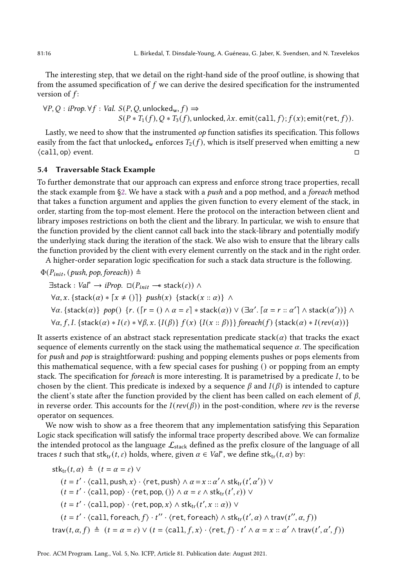The interesting step, that we detail on the right-hand side of the proof outline, is showing that from the assumed specification of  $f$  we can derive the desired specification for the instrumented version of  $f$ :

$$
\forall P, Q: iProp. \forall f: Val. S(P, Q, unlocked_w, f) \Rightarrow
$$
  
 
$$
S(P * T_1(f), Q * T_3(f), unlocked, \lambda x. emit(call, f); f(x); emit(ret, f)).
$$

Lastly, we need to show that the instrumented *op* function satisfies its specification. This follows easily from the fact that unlocked<sub>w</sub> enforces  $T_2(f)$ , which is itself preserved when emitting a new  $\langle$  call, op $\rangle$  event.  $\Box$ 

## <span id="page-15-0"></span>5.4 Traversable Stack Example

To further demonstrate that our approach can express and enforce strong trace properties, recall the stack example from  $\S$ 2. We have a stack with a *push* and a pop method, and a *foreach* method that takes a function argument and applies the given function to every element of the stack, in order, starting from the top-most element. Here the protocol on the interaction between client and library imposes restrictions on both the client and the library. In particular, we wish to ensure that the function provided by the client cannot call back into the stack-library and potentially modify the underlying stack during the iteration of the stack. We also wish to ensure that the library calls the function provided by the client with every element currently on the stack and in the right order.

A higher-order separation logic specification for such a stack data structure is the following.

 $\Phi(P_{init}, (push, pop, foreach)) \triangleq$ 

$$
\exists \text{stack}: \text{Val}^* \to iProp. \Box(P_{init} \to \text{stack}(\varepsilon)) \land
$$
  
\n
$$
\forall \alpha, x. \{\text{stack}(\alpha) * [x \neq ()] \} \text{ push}(x) \{\text{stack}(x :: \alpha) \} \land
$$
  
\n
$$
\forall \alpha. \{\text{stack}(\alpha) \} \text{pop}(x) \{r. ([r = () \land \alpha = \varepsilon] * \text{stack}(\alpha)) \lor (\exists \alpha'. [\alpha = r :: \alpha'] \land \text{stack}(\alpha'))\} \land
$$
  
\n
$$
\forall \alpha, f, I. \{\text{stack}(\alpha) * I(\varepsilon) * \forall \beta, x. \{I(\beta)\} f(x) \{I(x :: \beta)\}\} \text{break}(f) \{\text{stack}(\alpha) * I(rev(\alpha))\}
$$

It asserts existence of an abstract stack representation predicate stack( $\alpha$ ) that tracks the exact sequence of elements currently on the stack using the mathematical sequence  $\alpha$ . The specification for push and pop is straightforward: pushing and popping elements pushes or pops elements from this mathematical sequence, with a few special cases for pushing () or popping from an empty stack. The specification for *foreach* is more interesting. It is parametrised by a predicate  $I$ , to be chosen by the client. This predicate is indexed by a sequence  $\beta$  and  $I(\beta)$  is intended to capture the client's state after the function provided by the client has been called on each element of  $\beta$ , in reverse order. This accounts for the  $I(rev(\beta))$  in the post-condition, where rev is the reverse operator on sequences.

We now wish to show as a free theorem that any implementation satisfying this Separation Logic stack specification will satisfy the informal trace property described above. We can formalize the intended protocol as the language  $\mathcal{L}_{stack}$  defined as the prefix closure of the language of all traces t such that stk<sub>tr</sub>(t,  $\varepsilon$ ) holds, where, given  $\alpha \in Val^*$ , we define stk<sub>tr</sub>(t,  $\alpha$ ) by:

 $stk_{tr}(t, \alpha) \triangleq (t = \alpha = \varepsilon) \vee$  $(t = t' \cdot \langle \text{call}, \text{push}, x \rangle \cdot \langle \text{ret}, \text{push} \rangle \land \alpha = x :: \alpha' \land \text{stk}_{tr}(t', \alpha')) \lor$  $(t = t' \cdot \langle \text{call}, \text{pop} \rangle \cdot \langle \text{ret}, \text{pop}, () \rangle \wedge \alpha = \varepsilon \wedge \text{stk}_{tr}(t', \varepsilon)) \vee$  $(t = t' \cdot \langle \text{call}, \text{pop} \rangle \cdot \langle \text{ret}, \text{pop}, x \rangle \wedge \text{stk}_{\text{tr}}(t', x :: \alpha)) \vee$  $(t = t' \cdot \langle \text{call}, \text{foreach}, f \rangle \cdot t'' \cdot \langle \text{ret}, \text{foreach} \rangle \wedge \text{stk}_{\text{tr}}(t', \alpha) \wedge \text{trav}(t'', \alpha, f))$ trav $(t, \alpha, f) \triangleq (t = \alpha = \varepsilon) \vee (t = \langle \text{call}, f, x \rangle \cdot \langle \text{ret}, f \rangle \cdot t' \wedge \alpha = x :: \alpha' \wedge \text{trav}(t', \alpha', f))$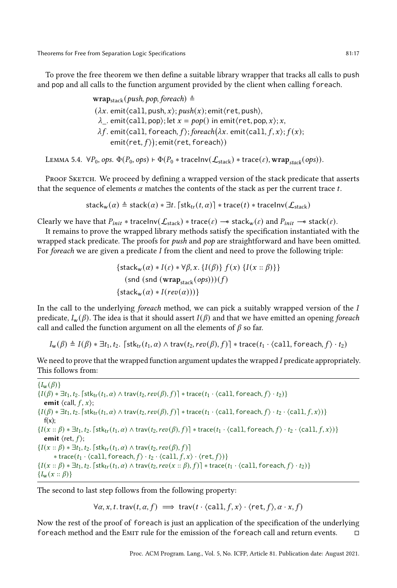To prove the free theorem we then define a suitable library wrapper that tracks all calls to push and pop and all calls to the function argument provided by the client when calling foreach.

> $wrap_{stack}(push, pop, foreach) \triangleq$  $(\lambda x.$  emit $\langle$ call, push, x $\rangle$ ; push $(x)$ ; emit $\langle$ ret, push $\rangle$ ,  $\lambda$  . emit $\langle$ call, pop $\rangle$ ; let  $x = pop()$  in emit $\langle$ ret, pop, x $\rangle$ ; x,  $\lambda f$ . emit $\langle$ call, foreach,  $f$ ); foreach $(\lambda x$ . emit $\langle$ call,  $f, x \rangle$ ;  $f(x)$ ;  $\text{emit}\langle \text{ret}, f \rangle)$ ; emit $\langle \text{ret}, \text{foreach} \rangle)$

LEMMA 5.4.  $\forall P_0$ , ops.  $\Phi(P_0, ops) \vdash \Phi(P_0 * \text{traceInv}(\mathcal{L}_{stack}) * \text{trace}(\varepsilon), \text{wrap}_{stack}(ops)).$ 

PROOF SKETCH. We proceed by defining a wrapped version of the stack predicate that asserts that the sequence of elements  $\alpha$  matches the contents of the stack as per the current trace  $t$ .

stack<sub>w</sub>( $\alpha$ ) ≜ stack( $\alpha$ ) \*  $\exists t$ . [stk<sub>tr</sub>( $t, \alpha$ )] \* trace( $t$ ) \* traceInv( $\mathcal{L}_{\text{stack}}$ )

Clearly we have that  $P_{init}$  \* traceInv( $\mathcal{L}_{stack}$ ) \* trace( $\varepsilon$ )  $\rightarrow$  stack<sub>w</sub>( $\varepsilon$ ) and  $P_{init}$   $\rightarrow$  stack( $\varepsilon$ ).

It remains to prove the wrapped library methods satisfy the specification instantiated with the wrapped stack predicate. The proofs for *push* and *pop* are straightforward and have been omitted. For *foreach* we are given a predicate  $I$  from the client and need to prove the following triple:

$$
\begin{aligned} \{\mathsf{stack}_w(\alpha) * I(\varepsilon) * \forall \beta, x. \{I(\beta)\} f(x) \{I(x :: \beta)\}\} \\ (\mathsf{snd} \,(\mathsf{wind} \,(\mathsf{wrap}_{\mathsf{stack}}(ops)))(f) \\ \{\mathsf{stack}_w(\alpha) * I(rev(\alpha)))\}\end{aligned}
$$

In the call to the underlying foreach method, we can pick a suitably wrapped version of the  $I$ predicate,  $I_w(\beta)$ . The idea is that it should assert  $I(\beta)$  and that we have emitted an opening foreach call and called the function argument on all the elements of  $\beta$  so far.

 $I_w(\beta) \triangleq I(\beta) * \exists t_1, t_2$ .  $\lceil \text{stk}_{tr}(t_1, \alpha) \wedge \text{trav}(t_2, rev(\beta), f) \rceil * \text{trace}(t_1 \cdot \text{(\text{call}, \text{forecast}, f)} \cdot t_2)$ 

We need to prove that the wrapped function argument updates the wrapped  $I$  predicate appropriately. This follows from:

 ${I_{\mathbf{w}}(\beta)}$  $\{I(\beta) * \exists t_1, t_2$ .  $\lceil$ stk<sub>tr</sub> $(t_1, \alpha) \wedge \text{trav}(t_2, \text{rev}(\beta), f)\rceil$  \* trace $(t_1 \cdot \text{ccall}, \text{foreach}, f) \cdot t_2)\}$ emit  $\langle$  call,  $f, x \rangle$ ;  $\{I(\beta) * \exists t_1, t_2. [\text{stk}_{tr}(t_1, \alpha) \wedge \text{trav}(t_2, rev(\beta), f)] * \text{trace}(t_1 \cdot \langle \text{call}, \text{foreach}, f \rangle \cdot t_2 \cdot \langle \text{call}, f, x \rangle) \}$  $f(x)$ :  $\{I(x::\beta)*\exists t_1, t_2.$   $\{\textsf{stk}_{tr}(t_1, \alpha) \wedge \textsf{trav}(t_2, \textsf{rev}(\beta), f)\}\$  \*  $\{\textsf{trace}(t_1 \cdot \langle \textsf{call}, \textsf{force}(t_1, \gamma) \cdot t_2 \cdot \langle \textsf{call}, f, x \rangle)\}\}$ emit  $\langle$ ret,  $f \rangle$ ;  $\{I(x:: \beta) * \exists t_1, t_2. \lceil stk_{tr}(t_1, \alpha) \wedge trav(t_2, rev(\beta), f) \rceil\}$  $*$  trace( $t_1 \cdot \langle$ call, foreach,  $f \rangle \cdot t_2 \cdot \langle$ call,  $f, x \rangle \cdot \langle$ ret,  $f \rangle)$ }  $\{I(x::\beta)*\exists t_1, t_2.$   $\{\text{stk}_{tr}(t_1, \alpha) \wedge \text{trav}(t_2, rev(x::\beta), f)\}\$  \* trace $(t_1 \cdot \{\text{call}, \text{forecast}, f\} \cdot t_2)\}$  ${I_{\mathbf{w}}(x::\beta)}$ 

The second to last step follows from the following property:

 $\forall \alpha, x, t.$  trav $(t, \alpha, f) \implies \text{trav}(t \cdot \text{call}, f, x) \cdot \text{fet}(f), \alpha \cdot x, f)$ 

Now the rest of the proof of foreach is just an application of the specification of the underlying foreach method and the EMIT rule for the emission of the foreach call and return events.  $□$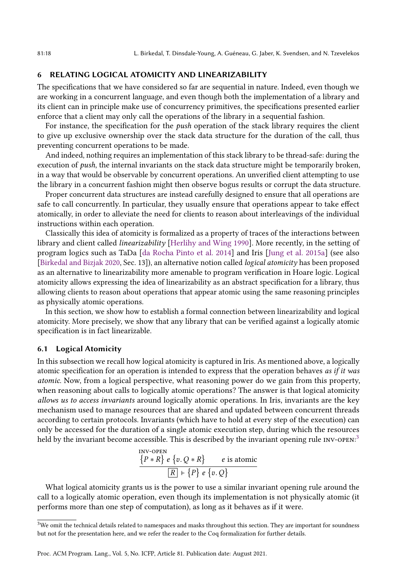## <span id="page-17-0"></span>6 RELATING LOGICAL ATOMICITY AND LINEARIZABILITY

The specifications that we have considered so far are sequential in nature. Indeed, even though we are working in a concurrent language, and even though both the implementation of a library and its client can in principle make use of concurrency primitives, the specifications presented earlier enforce that a client may only call the operations of the library in a sequential fashion.

For instance, the specification for the push operation of the stack library requires the client to give up exclusive ownership over the stack data structure for the duration of the call, thus preventing concurrent operations to be made.

And indeed, nothing requires an implementation of this stack library to be thread-safe: during the execution of *push*, the internal invariants on the stack data structure might be temporarily broken, in a way that would be observable by concurrent operations. An unverified client attempting to use the library in a concurrent fashion might then observe bogus results or corrupt the data structure.

Proper concurrent data structures are instead carefully designed to ensure that all operations are safe to call concurrently. In particular, they usually ensure that operations appear to take effect atomically, in order to alleviate the need for clients to reason about interleavings of the individual instructions within each operation.

Classically this idea of atomicity is formalized as a property of traces of the interactions between library and client called linearizability [\[Herlihy and Wing 1990\]](#page-27-7). More recently, in the setting of program logics such as TaDa [\[da Rocha Pinto et al.](#page-27-2) [2014\]](#page-27-2) and Iris [\[Jung et al.](#page-27-6) [2015a\]](#page-27-6) (see also [\[Birkedal and Bizjak 2020,](#page-27-8) Sec. 13]), an alternative notion called logical atomicity has been proposed as an alternative to linearizability more amenable to program verification in Hoare logic. Logical atomicity allows expressing the idea of linearizability as an abstract specification for a library, thus allowing clients to reason about operations that appear atomic using the same reasoning principles as physically atomic operations.

In this section, we show how to establish a formal connection between linearizability and logical atomicity. More precisely, we show that any library that can be verified against a logically atomic specification is in fact linearizable.

## 6.1 Logical Atomicity

In this subsection we recall how logical atomicity is captured in Iris. As mentioned above, a logically atomic specification for an operation is intended to express that the operation behaves as if it was atomic. Now, from a logical perspective, what reasoning power do we gain from this property, when reasoning about calls to logically atomic operations? The answer is that logical atomicity allows us to access invariants around logically atomic operations. In Iris, invariants are the key mechanism used to manage resources that are shared and updated between concurrent threads according to certain protocols. Invariants (which have to hold at every step of the execution) can only be accessed for the duration of a single atomic execution step, during which the resources held by the invariant become accessible. This is described by the invariant opening rule  $\text{inv-open}:^3$  $\text{inv-open}:^3$ 

$$
\frac{\{P * R\} e \{v. Q * R\}}{[R] + \{P\} e \{v. Q\}}
$$

What logical atomicity grants us is the power to use a similar invariant opening rule around the call to a logically atomic operation, even though its implementation is not physically atomic (it performs more than one step of computation), as long as it behaves as if it were.

<span id="page-17-1"></span> $3$ We omit the technical details related to namespaces and masks throughout this section. They are important for soundness but not for the presentation here, and we refer the reader to the Coq formalization for further details.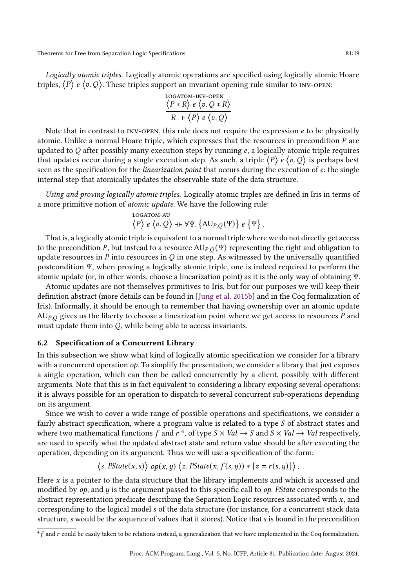<span id="page-18-0"></span>Logically atomic triples. Logically atomic operations are specified using logically atomic Hoare triples,  $\langle P \rangle$  e  $\langle v, Q \rangle$ . These triples support an invariant opening rule similar to INV-OPEN:

LOGATION-INV-OPEN  
\n
$$
\langle P * R \rangle e \langle v. Q * R \rangle
$$
  
\n $\boxed{R} + \langle P \rangle e \langle v. Q \rangle$ 

Note that in contrast to  $INV-OPEN$ , this rule does not require the expression  $e$  to be physically atomic. Unlike a normal Hoare triple, which expresses that the resources in precondition  $P$  are updated to  $Q$  after possibly many execution steps by running  $e$ , a logically atomic triple requires that updates occur during a single execution step. As such, a triple  $\langle P \rangle e \langle v, Q \rangle$  is perhaps best seen as the specification for the *linearization point* that occurs during the execution of  $e$ : the single internal step that atomically updates the observable state of the data structure.

Using and proving logically atomic triples. Logically atomic triples are defined in Iris in terms of a more primitive notion of atomic update. We have the following rule:

$$
\begin{array}{l} \text{logaton-au} \\ \langle P \rangle \ e \ \langle v, Q \rangle \ + \ \forall \Psi. \ \{ \mathsf{AU}_{P,Q}(\Psi) \} \ e \ \{ \Psi \} \end{array}
$$

.

That is, a logically atomic triple is equivalent to a normal triple where we do not directly get access to the precondition P, but instead to a resource  $A \cup_{P,Q} (\Psi)$  representing the right and obligation to update resources in  $P$  into resources in  $Q$  in one step. As witnessed by the universally quantified postcondition Ψ, when proving a logically atomic triple, one is indeed required to perform the atomic update (or, in other words, choose a linearization point) as it is the only way of obtaining Ψ.

Atomic updates are not themselves primitives to Iris, but for our purposes we will keep their definition abstract (more details can be found in [\[Jung et al.](#page-28-8) [2015b\]](#page-28-8) and in the Coq formalization of Iris). Informally, it should be enough to remember that having ownership over an atomic update  $AUP<sub>,O</sub>$  gives us the liberty to choose a linearization point where we get access to resources P and must update them into  $Q$ , while being able to access invariants.

## 6.2 Specification of a Concurrent Library

In this subsection we show what kind of logically atomic specification we consider for a library with a concurrent operation  $op$ . To simplify the presentation, we consider a library that just exposes a single operation, which can then be called concurrently by a client, possibly with different arguments. Note that this is in fact equivalent to considering a library exposing several operations: it is always possible for an operation to dispatch to several concurrent sub-operations depending on its argument.

Since we wish to cover a wide range of possible operations and specifications, we consider a fairly abstract specification, where a program value is related to a type  $S$  of abstract states and where two mathematical functions f and  $r^4$  $r^4$ , of type  $S \times Val \rightarrow S$  and  $S \times Val \rightarrow Val$  respectively, are used to specify what the updated abstract state and return value should be after executing the operation, depending on its argument. Thus we will use a specification of the form:

$$
\langle s.\,PState(x,s)\rangle\; op(x,y)\; \langle z.\,PState(x,f(s,y)) * [z=r(s,y)]\rangle\,.
$$

Here  $x$  is a pointer to the data structure that the library implements and which is accessed and modified by  $op$ ; and  $y$  is the argument passed to this specific call to  $op$ . Pstate corresponds to the abstract representation predicate describing the Separation Logic resources associated with  $x$ , and corresponding to the logical model s of the data structure (for instance, for a concurrent stack data structure, s would be the sequence of values that it stores). Notice that s is bound in the precondition

<span id="page-18-1"></span> $4f$  and  $r$  could be easily taken to be relations instead, a generalization that we have implemented in the Coq formalization.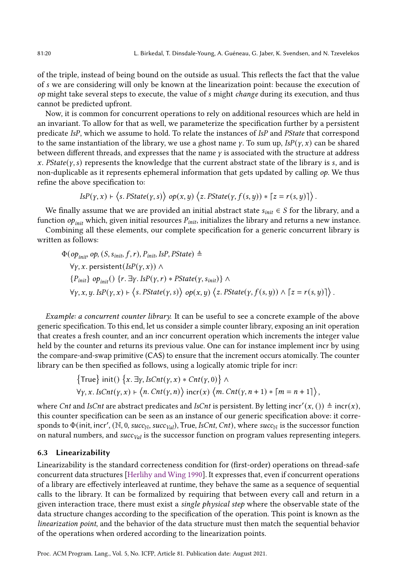.

of the triple, instead of being bound on the outside as usual. This reflects the fact that the value of *s* we are considering will only be known at the linearization point: because the execution of  $op$  might take several steps to execute, the value of  $s$  might *change* during its execution, and thus cannot be predicted upfront.

Now, it is common for concurrent operations to rely on additional resources which are held in an invariant. To allow for that as well, we parameterize the specification further by a persistent predicate IsP, which we assume to hold. To relate the instances of IsP and PState that correspond to the same instantiation of the library, we use a ghost name  $\gamma$ . To sum up,  $IsP(\gamma, x)$  can be shared between different threads, and expresses that the name  $\gamma$  is associated with the structure at address x. PState( $\gamma$ , s) represents the knowledge that the current abstract state of the library is s, and is non-duplicable as it represents ephemeral information that gets updated by calling  $op$ . We thus refine the above specification to:

$$
IsP(y, x) \vdash \langle s. PState(y, s) \rangle op(x, y) \langle z. PState(y, f(s, y)) * [z = r(s, y)] \rangle.
$$

We finally assume that we are provided an initial abstract state  $s_{init} \in S$  for the library, and a function  $op_{init}$  which, given initial resources  $P_{init}$ , initializes the library and returns a new instance.

Combining all these elements, our complete specification for a generic concurrent library is written as follows:

$$
\Phi(op_{init}, op, (S, s_{init}, f, r), P_{init}, \text{ISP}, \text{PState}) \triangleq
$$
\n
$$
\forall \gamma, x. \text{ persistent}(\text{ISP}(\gamma, x)) \land
$$
\n
$$
\{P_{init}\} op_{init}() \{r. \exists \gamma. \text{ISP}(\gamma, r) * \text{PState}(\gamma, s_{init})\} \land
$$
\n
$$
\forall \gamma, x, y. \text{ISP}(\gamma, x) \vdash \langle s. \text{PState}(\gamma, s) \rangle op(x, y) \langle z. \text{PState}(\gamma, f(s, y)) \land [z = r(s, y)] \rangle
$$

Example: a concurrent counter library. It can be useful to see a concrete example of the above generic specification. To this end, let us consider a simple counter library, exposing an init operation that creates a fresh counter, and an incr concurrent operation which increments the integer value held by the counter and returns its previous value. One can for instance implement incr by using the compare-and-swap primitive (CAS) to ensure that the increment occurs atomically. The counter library can be then specified as follows, using a logically atomic triple for incr:

$$
\begin{aligned}\n\{\text{True}\} \text{ init() } \{x. \exists y. \text{ Is} \text{Cnt}(y, x) * \text{Cnt}(y, 0) \} \land \\
\forall y, x. \text{ Is} \text{Cnt}(y, x) \vdash \langle n. \text{Cnt}(y, n) \rangle \text{ incr}(x) \langle m. \text{Cnt}(y, n+1) * [m = n+1] \rangle,\n\end{aligned}
$$

where *Cnt* and *IsCnt* are abstract predicates and *IsCnt* is persistent. By letting incr'(x, ())  $\triangleq$  incr(x), this counter specification can be seen as an instance of our generic specification above: it corresponds to  $\Phi$ (init, incr', (N, 0, succ<sub>N</sub>, succ<sub>Val</sub>), True, IsCnt, Cnt), where succ<sub>N</sub> is the successor function on natural numbers, and  $succ_{Val}$  is the successor function on program values representing integers.

#### 6.3 Linearizability

Linearizability is the standard correcteness condition for (first-order) operations on thread-safe concurrent data structures [\[Herlihy and Wing 1990\]](#page-27-7). It expresses that, even if concurrent operations of a library are effectively interleaved at runtime, they behave the same as a sequence of sequential calls to the library. It can be formalized by requiring that between every call and return in a given interaction trace, there must exist a *single physical step* where the observable state of the data structure changes according to the specification of the operation. This point is known as the linearization point, and the behavior of the data structure must then match the sequential behavior of the operations when ordered according to the linearization points.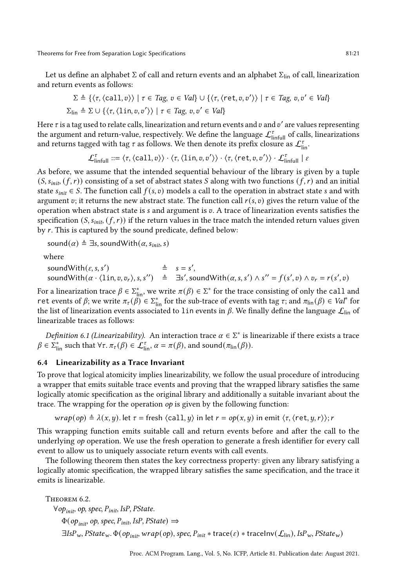Let us define an alphabet  $\Sigma$  of call and return events and an alphabet  $\Sigma_{lin}$  of call, linearization and return events as follows:

$$
\Sigma \triangleq \{ \langle \tau, \langle \text{call}, v \rangle \rangle \mid \tau \in Tag, v \in Val \} \cup \{ \langle \tau, \langle \text{ret}, v, v' \rangle \rangle \mid \tau \in Tag, v, v' \in Val \}
$$
  

$$
\Sigma_{\text{lin}} \triangleq \Sigma \cup \{ \langle \tau, \langle \text{lin}, v, v' \rangle \rangle \mid \tau \in Tag, v, v' \in Val \}
$$

Here  $\tau$  is a tag used to relate calls, linearization and return events and  $v$  and  $v'$  are values representing the argument and return-value, respectively. We define the language  $\mathcal{L}_{\text{limit}}^{\tau}$  of calls, linearizations and returns tagged with tag  $\tau$  as follows. We then denote its prefix closure as  $\mathcal{L}^{\tau}_{\mathsf{lin}}.$ 

 $\mathcal{L}_{\textrm{initial}}^{\tau} ::= \langle \tau, \langle \textrm{call}, v \rangle \rangle \cdot \langle \tau, \langle \textrm{lin}, v, v' \rangle \rangle \cdot \langle \tau, \langle \textrm{ret}, v, v' \rangle \rangle \cdot \mathcal{L}_{\textrm{initial}}^{\tau} \mid \varepsilon$ 

As before, we assume that the intended sequential behaviour of the library is given by a tuple  $(S, s_{init}, (f, r))$  consisting of a set of abstract states S along with two functions  $(f, r)$  and an initial state  $s_{init} \in S$ . The function call  $f(s, v)$  models a call to the operation in abstract state s and with argument v; it returns the new abstract state. The function call  $r(s, v)$  gives the return value of the operation when abstract state is  $s$  and argument is  $v$ . A trace of linearization events satisfies the specification  $(S, s_{init}, (f, r))$  if the return values in the trace match the intended return values given by  $r$ . This is captured by the sound predicate, defined below:

sound( $\alpha$ ) ≜ ∃s, soundWith( $\alpha$ ,  $s_{init}$ , s)

where

soundWith( $\varepsilon$ , s, s')  $\stackrel{\triangle}{=}$   $s = s'$ , soundWith $(\alpha \cdot \langle \ln, v, v_r \rangle, s, s'') \triangleq \exists s',$ soundWith $(\alpha, s, s') \wedge s'' = f(s', v) \wedge v_r = r(s', v)$ 

For a linearization trace  $\beta \in \sum_{\text{lin}}^*$ , we write  $\pi(\beta) \in \sum^*$  for the trace consisting of only the call and ret events of  $\beta$ ; we write  $\pi_{\tau}(\beta) \in \Sigma_{\text{lin}}^*$  for the sub-trace of events with tag  $\tau$ ; and  $\pi_{\text{lin}}(\beta) \in \text{Val}^*$  for the list of linearization events associated to 1 in events in  $\beta$ . We finally define the language  $\mathcal{L}_{lin}$  of linearizable traces as follows:

Definition 6.1 (Linearizability). An interaction trace  $\alpha \in \Sigma^*$  is linearizable if there exists a trace  $\beta \in \Sigma^*_{\text{lin}}$  such that  $\forall \tau$ .  $\pi_\tau(\beta) \in \mathcal{L}^\tau_{\text{lin}}, \alpha = \pi(\beta)$ , and sound $(\pi_{\text{lin}}(\beta))$ .

#### 6.4 Linearizability as a Trace Invariant

To prove that logical atomicity implies linearizability, we follow the usual procedure of introducing a wrapper that emits suitable trace events and proving that the wrapped library satisfies the same logically atomic specification as the original library and additionally a suitable invariant about the trace. The wrapping for the operation op is given by the following function:

$$
wrap(op) \triangleq \lambda(x, y)
$$
. let  $\tau = \text{ fresh } \langle \text{call}, y \rangle$  in let  $r = op(x, y)$  in emit  $\langle \tau, \langle \text{ret}, y, r \rangle \rangle$ ; r

This wrapping function emits suitable call and return events before and after the call to the underlying op operation. We use the fresh operation to generate a fresh identifier for every call event to allow us to uniquely associate return events with call events.

The following theorem then states the key correctness property: given any library satisfying a logically atomic specification, the wrapped library satisfies the same specification, and the trace it emits is linearizable.

<span id="page-20-0"></span>THEOREM 6.2.  $\forall op_{init}$ , op, spec,  $P_{init}$ , IsP, PState.  $\Phi(op_{\text{init}}, op, spec, P_{\text{init}}, \text{IsP}, \text{PState}) \Rightarrow$  $\exists IsP_w$ , PState<sub>w</sub>.  $\Phi(op_{init}, wrap(op)$ , spec,  $P_{init} * \text{trace}(\varepsilon) * \text{traceInv}(\mathcal{L}_{lin})$ , Is $P_w$ , PState<sub>w</sub>)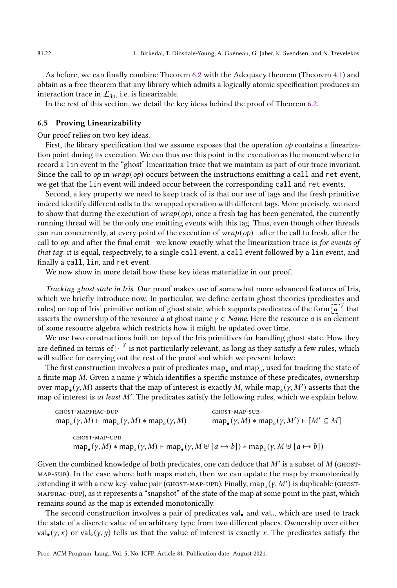As before, we can finally combine Theorem [6.2](#page-20-0) with the Adequacy theorem (Theorem [4.1\)](#page-7-0) and obtain as a free theorem that any library which admits a logically atomic specification produces an interaction trace in  $\mathcal{L}_{lin}$ , i.e. is linearizable.

In the rest of this section, we detail the key ideas behind the proof of Theorem [6.2.](#page-20-0)

#### 6.5 Proving Linearizability

Our proof relies on two key ideas.

First, the library specification that we assume exposes that the operation  $op$  contains a linearization point during its execution. We can thus use this point in the execution as the moment where to record a lin event in the "ghost" linearization trace that we maintain as part of our trace invariant. Since the call to  $op$  in  $wrap(op)$  occurs between the instructions emitting a call and ret event, we get that the lin event will indeed occur between the corresponding call and ret events.

Second, a key property we need to keep track of is that our use of tags and the fresh primitive indeed identify different calls to the wrapped operation with different tags. More precisely, we need to show that during the execution of  $wrap(op)$ , once a fresh tag has been generated, the currently running thread will be the only one emitting events with this tag. Thus, even though other threads can run concurrently, at every point of the execution of  $wrap(op)$ —after the call to fresh, after the call to  $op$ , and after the final emit—we know exactly what the linearization trace is for events of that tag: it is equal, respectively, to a single call event, a call event followed by a lin event, and finally a call, lin, and ret event.

We now show in more detail how these key ideas materialize in our proof.

Tracking ghost state in Iris. Our proof makes use of somewhat more advanced features of Iris, which we briefly introduce now. In particular, we define certain ghost theories (predicates and rules) on top of Iris' primitive notion of ghost state, which supports predicates of the form  $\left[\vec{a}\right]^{\gamma}$  that asserts the ownership of the resource *a* at ghost name  $\gamma \in Name$ . Here the resource *a* is an element of some resource algebra which restricts how it might be updated over time.

We use two constructions built on top of the Iris primitives for handling ghost state. How they are defined in terms of  $\tilde{C}^{[V]}$  is not particularly relevant, as long as they satisfy a few rules, which will suffice for carrying out the rest of the proof and which we present below:

The first construction involves a pair of predicates map $_{\bullet}$  and map $_{\circ}$ , used for tracking the state of a finite map  $M$ . Given a name  $\gamma$  which identifies a specific instance of these predicates, ownership over map<sub>•</sub>( $\gamma$ ,  $M$ ) asserts that the map of interest is exactly  $M$ , while map<sub>∘</sub>( $\gamma$ ,  $M'$ ) asserts that the map of interest is at least M'. The predicates satisfy the following rules, which we explain below.

GHOST-MAPFRAC-DUP

\n
$$
\operatorname{GHOST-MAP-SUB}
$$
\n
$$
\operatorname{map}_{\circ}(y, M) \models \operatorname{map}_{\circ}(y, M) * \operatorname{map}_{\circ}(y, M) \qquad \operatorname{map}_{\bullet}(y, M) * \operatorname{map}_{\circ}(y, M') \models [M' \subseteq M]
$$
\n
$$
\operatorname{GHOST-MAP-UPD}
$$
\n
$$
\operatorname{map}_{\bullet}(y, M) * \operatorname{map}_{\circ}(y, M) \models \operatorname{map}_{\bullet}(y, M \uplus [a \mapsto b]) * \operatorname{map}_{\circ}(y, M \uplus [a \mapsto b])
$$

Given the combined knowledge of both predicates, one can deduce that  $M'$  is a subset of  $M$  (GHOSTmap-sub). In the case where both maps match, then we can update the map by monotonically extending it with a new key-value pair (GHOST-MAP-UPD). Finally,  $\text{map}_{\circ}(\gamma, M')$  is duplicable (GHOSTmapfrac-dup), as it represents a "snapshot" of the state of the map at some point in the past, which remains sound as the map is extended monotonically.

The second construction involves a pair of predicates val<sub>•</sub> and val<sub>○</sub>, which are used to track the state of a discrete value of an arbitrary type from two different places. Ownership over either val•  $(y, x)$  or val∘  $(y, y)$  tells us that the value of interest is exactly x. The predicates satisfy the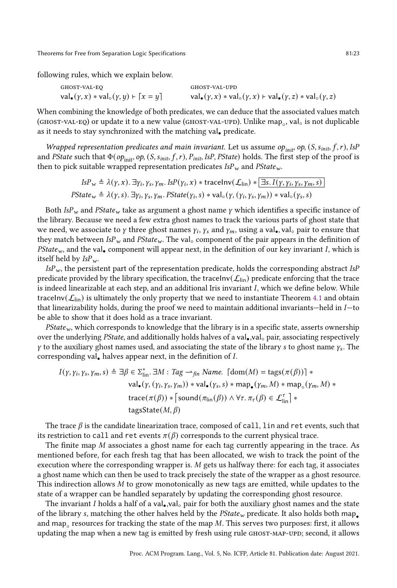following rules, which we explain below.

GHOST-VAL-EQ

\nGHOST-VAL-UPD

\nval<sub>•</sub>(
$$
\gamma
$$
,  $x$ ) \* val<sub>o</sub>( $\gamma$ ,  $y$ ) +  $\lceil x = y \rceil$ 

\nval<sub>•</sub>( $\gamma$ ,  $x$ ) \* val<sub>o</sub>( $\gamma$ ,  $x$ ) + val<sub>•</sub>( $\gamma$ ,  $z$ ) + val<sub>•</sub>( $\gamma$ ,  $z$ ) \* val<sub>o</sub>( $\gamma$ ,  $z$ )

When combining the knowledge of both predicates, we can deduce that the associated values match (GHOST-VAL-EQ) or update it to a new value (GHOST-VAL-UPD). Unlike map<sub>。</sub>, val<sub>○</sub> is not duplicable as it needs to stay synchronized with the matching val• predicate.

Wrapped representation predicates and main invariant. Let us assume op<sub>init</sub>, op,  $(S, s_{init}, f, r)$ , IsP and PState such that  $\Phi(o_{\text{init}}, op, (S, s_{\text{init}}, f, r), P_{\text{init}}$ , IsP, PState) holds. The first step of the proof is then to pick suitable wrapped representation predicates  $\text{ISP}_w$  and  $\text{PState}_w$ .

> $I$ s $P_w \triangleq \lambda(\gamma, x)$ .  $\exists \gamma_i, \gamma_s, \gamma_m$ . Is $P(\gamma_i, x) *$  traceInv $(\mathcal{L}_{\text{lin}}) * \boxed{\exists s \ldotp I(\gamma, \gamma_i, \gamma_s, \gamma_m, s)}$ PState<sub>w</sub>  $\triangleq \lambda(y, s)$ .  $\exists \gamma_i, \gamma_s, \gamma_m$ . PState $(\gamma_i, s) * val_o(\gamma, (\gamma_i, \gamma_s, \gamma_m)) * val_o(\gamma_s, s)$

Both IsP<sub>w</sub> and PState<sub>w</sub> take as argument a ghost name  $\gamma$  which identifies a specific instance of the library. Because we need a few extra ghost names to track the various parts of ghost state that we need, we associate to  $\gamma$  three ghost names  $\gamma_i, \gamma_s$  and  $\gamma_m,$  using a val $_{\bullet}$ , val $_{\circ}$  pair to ensure that they match between  $ISP_w$  and  $PState_w$ . The val∘ component of the pair appears in the definition of PState<sub>w</sub>, and the val<sub>•</sub> component will appear next, in the definition of our key invariant I, which is itself held by  $IsP_w$ .

 $ISP_w$ , the persistent part of the representation predicate, holds the corresponding abstract IsP predicate provided by the library specification, the traceInv( $\mathcal{L}_{lin}$ ) predicate enforcing that the trace is indeed linearizable at each step, and an additional Iris invariant  $I$ , which we define below. While traceInv( $\mathcal{L}_{lin}$ ) is ultimately the only property that we need to instantiate Theorem [4.1](#page-7-0) and obtain that linearizability holds, during the proof we need to maintain additional invariants—held in  $I$ —to be able to show that it does hold as a trace invariant.

 $PState_w$ , which corresponds to knowledge that the library is in a specific state, asserts ownership over the underlying PState, and additionally holds halves of a val•,val<sub>○</sub> pair, associating respectively  $\gamma$  to the auxiliary ghost names used, and associating the state of the library s to ghost name  $\gamma_s$ . The corresponding val. halves appear next, in the definition of *.* 

$$
I(\gamma, \gamma_i, \gamma_s, \gamma_m, s) \triangleq \exists \beta \in \Sigma_{\text{lin}}^* \cdot \exists M : \text{Tag} \rightarrow_{\text{fin}} \text{Name.} \ [\text{dom}(M) = \text{tags}(\pi(\beta))] * \text{val}_{\bullet}(\gamma, (\gamma_i, \gamma_s, \gamma_m)) * \text{val}_{\bullet}(\gamma_s, s) * \text{map}_{\bullet}(\gamma_m, M) * \text{map}_{\circ}(\gamma_m, M) * \text{trace}(\pi(\beta)) * [\text{sound}(\pi_{\text{lin}}(\beta)) \land \forall \tau, \pi_{\tau}(\beta) \in \mathcal{L}_{\text{lin}}^{\tau}] * \text{tagsState}(M, \beta)
$$

The trace  $\beta$  is the candidate linearization trace, composed of call, lin and ret events, such that its restriction to call and ret events  $\pi(\beta)$  corresponds to the current physical trace.

The finite map  $M$  associates a ghost name for each tag currently appearing in the trace. As mentioned before, for each fresh tag that has been allocated, we wish to track the point of the execution where the corresponding wrapper is.  $M$  gets us halfway there: for each tag, it associates a ghost name which can then be used to track precisely the state of the wrapper as a ghost resource. This indirection allows  $M$  to grow monotonically as new tags are emitted, while updates to the state of a wrapper can be handled separately by updating the corresponding ghost resource.

The invariant I holds a half of a val•,val $_{\circ}$  pair for both the auxiliary ghost names and the state of the library s, matching the other halves held by the  $PState_w$  predicate. It also holds both map. and map $_{\circ}$  resources for tracking the state of the map  $M.$  This serves two purposes: first, it allows updating the map when a new tag is emitted by fresh using rule GHOST-MAP-UPD; second, it allows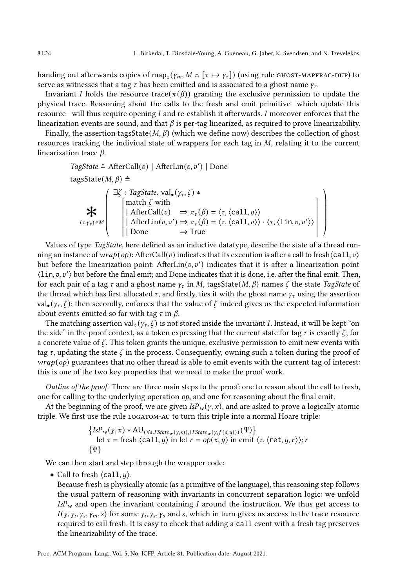ª ® ® ® ® ®

handing out afterwards copies of map<sub>◦</sub>( $\gamma_m$ ,  $M \uplus [\tau \mapsto \gamma_\tau]$ ) (using rule <code>GHOST-MAPFRAC-DUP)</code> to serve as witnesses that a tag  $\tau$  has been emitted and is associated to a ghost name  $\gamma_{\tau}$ .

Invariant *I* holds the resource trace( $\pi(\beta)$ ) granting the exclusive permission to update the physical trace. Reasoning about the calls to the fresh and emit primitive–which update this resource—will thus require opening  $I$  and re-establish it afterwards.  $I$  moreover enforces that the linearization events are sound, and that  $\beta$  is per-tag linearized, as required to prove linearizability.

Finally, the assertion tagsState( $M$ ,  $\beta$ ) (which we define now) describes the collection of ghost resources tracking the indiviual state of wrappers for each tag in  $M$ , relating it to the current linearization trace  $\beta$ .

TagState ≈ AfterCall(v) | AfterLin(v, v') | Done  
\ntagsState(M, β) ≡  
\n
$$
\begin{cases}\n\exists \zeta : TagState \text{ val}_{\bullet}(γ_{\tau}, \zeta) *\n\text{match } \zeta \text{ with} \\
[AfterCall(v) \Rightarrow \pi_{\tau}(\beta) = \langle \tau, \langle \text{call}, v \rangle \rangle \\
(AfterLin(v, v') \Rightarrow \pi_{\tau}(\beta) = \langle \tau, \langle \text{call}, v \rangle \rangle \cdot \langle \tau, \langle \text{lin}, v, v' \rangle \rangle \\
Done \Rightarrow True\n\end{cases}
$$

Values of type TagState, here defined as an inductive datatype, describe the state of a thread running an instance of  $wrap(op)$ : AfterCall(v) indicates that its execution is after a call to fresh $\langle$ call, v $\rangle$ but before the linearization point;  $AfterLin(v, v')$  indicates that it is after a linearization point  $\langle \text{lin}, v, v' \rangle$  but before the final emit; and Done indicates that it is done, i.e. after the final emit. Then, for each pair of a tag  $\tau$  and a ghost name  $\gamma_{\tau}$  in M, tagsState(M,  $\beta$ ) names  $\zeta$  the state TagState of the thread which has first allocated  $\tau$ , and firstly, ties it with the ghost name  $\gamma_{\tau}$  using the assertion val<sub>•</sub> ( $\gamma_r$ ,  $\zeta$ ); then secondly, enforces that the value of  $\zeta$  indeed gives us the expected information about events emitted so far with tag  $\tau$  in  $\beta$ .

The matching assertion val<sub>○</sub> ( $y_\tau$ ,  $\zeta$ ) is not stored inside the invariant *I*. Instead, it will be kept "on the side" in the proof context, as a token expressing that the current state for tag  $\tau$  is exactly  $\zeta$ , for a concrete value of  $\zeta$ . This token grants the unique, exclusive permission to emit new events with tag  $\tau$ , updating the state  $\zeta$  in the process. Consequently, owning such a token during the proof of  $wrap(op)$  guarantees that no other thread is able to emit events with the current tag of interest: this is one of the two key properties that we need to make the proof work.

Outline of the proof. There are three main steps to the proof: one to reason about the call to fresh, one for calling to the underlying operation  $op$ , and one for reasoning about the final emit.

At the beginning of the proof, we are given  $IsP_w(\gamma, x)$ , and are asked to prove a logically atomic triple. We first use the rule logatom-au to turn this triple into a normal Hoare triple:

$$
\{ \text{ISP}_w(y, x) * \text{AU}_{(\forall s. \text{PState}_w(y, s)), (\text{PState}_w(y, f(s, y)))}(\Psi) \}
$$
\nlet  $\tau$  = fresh  $\langle \text{call}, y \rangle$  in let  $r = op(x, y)$  in emit  $\langle \tau, \langle \text{ret}, y, r \rangle \rangle$ ;  $r \{\Psi\}$ 

We can then start and step through the wrapper code:

• Call to fresh  $\langle \text{call}, y \rangle$ .

Because fresh is physically atomic (as a primitive of the language), this reasoning step follows the usual pattern of reasoning with invariants in concurrent separation logic: we unfold  $IsP_w$  and open the invariant containing I around the instruction. We thus get access to  $I(\gamma, \gamma_i, \gamma_s, \gamma_m, s)$  for some  $\gamma_i, \gamma_s, \gamma_s$  and s, which in turn gives us access to the trace resource required to call fresh. It is easy to check that adding a call event with a fresh tag preserves the linearizability of the trace.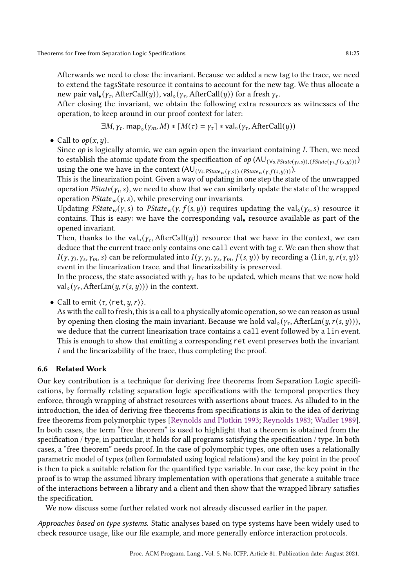Afterwards we need to close the invariant. Because we added a new tag to the trace, we need to extend the tagsState resource it contains to account for the new tag. We thus allocate a new pair val<sub>•</sub> ( $\gamma_{\tau}$ , AfterCall(*y*)), val<sub>○</sub> ( $\gamma_{\tau}$ , AfterCall(*y*)) for a fresh  $\gamma_{\tau}$ .

After closing the invariant, we obtain the following extra resources as witnesses of the operation, to keep around in our proof context for later:

$$
\exists M, \gamma_{\tau}.\, \text{map}_{\circ}(\gamma_m, M) * \lceil M(\tau) = \gamma_{\tau} \rceil * \text{val}_{\circ}(\gamma_{\tau}, \text{AfterCall}(y))
$$

• Call to  $op(x, y)$ .

Since  $op$  is logically atomic, we can again open the invariant containing  $I$ . Then, we need to establish the atomic update from the specification of  $op(AU_{(\forall s.PState(y_i,s)),(PState(y_i,f(s,y)))})$ using the one we have in the context  $(AU_{(\forall s.PState_w(y,s)),(PState_w(y,f(s,y)))}).$ 

This is the linearization point. Given a way of updating in one step the state of the unwrapped operation  $\mathit{PState}(y_i, s)$ , we need to show that we can similarly update the state of the wrapped operation  $PState_w(y, s)$ , while preserving our invariants.

Updating  $PState_w(y, s)$  to  $PState_w(y, f(s, y))$  requires updating the val $_\circ(y_s, s)$  resource it contains. This is easy: we have the corresponding val<sub>•</sub> resource available as part of the opened invariant.

Then, thanks to the val<sub>○</sub> $(y_7,$  AfterCall $(y)$ ) resource that we have in the context, we can deduce that the current trace only contains one call event with tag  $\tau$ . We can then show that  $I(y, \gamma_i, \gamma_s, \gamma_m, s)$  can be reformulated into  $I(y, \gamma_i, \gamma_s, \gamma_m, f(s, y))$  by recording a  $\langle \text{lin}, y, r(s, y) \rangle$ event in the linearization trace, and that linearizability is preserved.

In the process, the state associated with  $\gamma_{\tau}$  has to be updated, which means that we now hold val<sub>∘</sub>( $\gamma_{\tau}$ , AfterLin( $\psi$ ,  $r(s, \psi)$ )) in the context.

• Call to emit  $\langle \tau, \langle \text{ret}, y, r \rangle \rangle$ .

As with the call to fresh, this is a call to a physically atomic operation, so we can reason as usual by opening then closing the main invariant. Because we hold val<sub>○</sub> ( $\gamma$ <sub>r</sub>, AfterLin( $y$ ,  $r$ (s,  $y$ ))), we deduce that the current linearization trace contains a call event followed by a lin event. This is enough to show that emitting a corresponding ret event preserves both the invariant I and the linearizability of the trace, thus completing the proof.

# 6.6 Related Work

Our key contribution is a technique for deriving free theorems from Separation Logic specifications, by formally relating separation logic specifications with the temporal properties they enforce, through wrapping of abstract resources with assertions about traces. As alluded to in the introduction, the idea of deriving free theorems from specifications is akin to the idea of deriving free theorems from polymorphic types [\[Reynolds and Plotkin 1993;](#page-28-3) [Reynolds 1983;](#page-28-4) [Wadler 1989\]](#page-28-5). In both cases, the term "free theoremž is used to highlight that a theorem is obtained from the specification / type; in particular, it holds for all programs satisfying the specification / type. In both cases, a "free theoremž needs proof. In the case of polymorphic types, one often uses a relationally parametric model of types (often formulated using logical relations) and the key point in the proof is then to pick a suitable relation for the quantified type variable. In our case, the key point in the proof is to wrap the assumed library implementation with operations that generate a suitable trace of the interactions between a library and a client and then show that the wrapped library satisfies the specification.

We now discuss some further related work not already discussed earlier in the paper.

Approaches based on type systems. Static analyses based on type systems have been widely used to check resource usage, like our file example, and more generally enforce interaction protocols.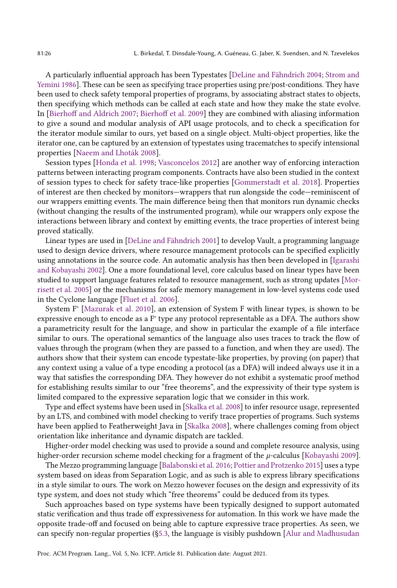A particularly influential approach has been Typestates [\[DeLine and Fähndrich 2004;](#page-27-9) [Strom and](#page-28-9) [Yemini 1986\]](#page-28-9). These can be seen as specifying trace properties using pre/post-conditions. They have been used to check safety temporal properties of programs, by associating abstract states to objects, then specifying which methods can be called at each state and how they make the state evolve. In [\[Bierhoff and Aldrich 2007;](#page-27-10) [Bierhoff et al.](#page-27-11) [2009\]](#page-27-11) they are combined with aliasing information to give a sound and modular analysis of API usage protocols, and to check a specification for the iterator module similar to ours, yet based on a single object. Multi-object properties, like the iterator one, can be captured by an extension of typestates using tracematches to specify intensional properties [\[Naeem and Lhoták 2008\]](#page-28-10).

Session types [\[Honda et al.](#page-27-12) [1998;](#page-27-12) [Vasconcelos 2012\]](#page-28-11) are another way of enforcing interaction patterns between interacting program components. Contracts have also been studied in the context of session types to check for safety trace-like properties [\[Gommerstadt et al.](#page-27-13) [2018\]](#page-27-13). Properties of interest are then checked by monitors—wrappers that run alongside the code—reminiscent of our wrappers emitting events. The main difference being then that monitors run dynamic checks (without changing the results of the instrumented program), while our wrappers only expose the interactions between library and context by emitting events, the trace properties of interest being proved statically.

Linear types are used in [\[DeLine and Fähndrich 2001\]](#page-27-14) to develop Vault, a programming language used to design device drivers, where resource management protocols can be specified explicitly using annotations in the source code. An automatic analysis has then been developed in [\[Igarashi](#page-27-15) [and Kobayashi 2002\]](#page-27-15). One a more foundational level, core calculus based on linear types have been studied to support language features related to resource management, such as strong updates [\[Mor](#page-28-12)[risett et al.](#page-28-12) [2005\]](#page-28-12) or the mechanisms for safe memory management in low-level systems code used in the Cyclone language [\[Fluet et al. 2006\]](#page-27-16).

System F° [\[Mazurak et al.](#page-28-13) [2010\]](#page-28-13), an extension of System F with linear types, is shown to be expressive enough to encode as a  $F^{\circ}$  type any protocol representable as a DFA. The authors show a parametricity result for the language, and show in particular the example of a file interface similar to ours. The operational semantics of the language also uses traces to track the flow of values through the program (when they are passed to a function, and when they are used). The authors show that their system can encode typestate-like properties, by proving (on paper) that any context using a value of a type encoding a protocol (as a DFA) will indeed always use it in a way that satisfies the corresponding DFA. They however do not exhibit a systematic proof method for establishing results similar to our "free theorems", and the expressivity of their type system is limited compared to the expressive separation logic that we consider in this work.

Type and effect systems have been used in [\[Skalka et al.](#page-28-14) [2008\]](#page-28-14) to infer resource usage, represented by an LTS, and combined with model checking to verify trace properties of programs. Such systems have been applied to Featherweight Java in [\[Skalka 2008\]](#page-28-15), where challenges coming from object orientation like inheritance and dynamic dispatch are tackled.

Higher-order model checking was used to provide a sound and complete resource analysis, using higher-order recursion scheme model checking for a fragment of the  $\mu$ -calculus [\[Kobayashi 2009\]](#page-28-16).

The Mezzo programming language [\[Balabonski et al.](#page-27-17) [2016;](#page-27-17) [Pottier and Protzenko 2015\]](#page-28-17) uses a type system based on ideas from Separation Logic, and as such is able to express library specifications in a style similar to ours. The work on Mezzo however focuses on the design and expressivity of its type system, and does not study which "free theorems" could be deduced from its types.

Such approaches based on type systems have been typically designed to support automated static verification and thus trade off expressiveness for automation. In this work we have made the opposite trade-off and focused on being able to capture expressive trace properties. As seen, we can specify non-regular properties ([ğ5.3,](#page-12-0) the language is visibly pushdown [\[Alur and Madhusudan](#page-27-18)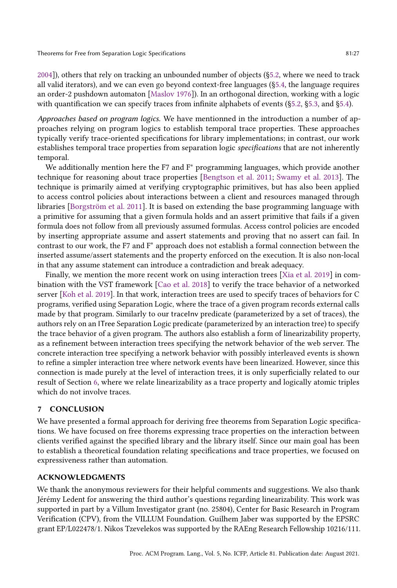[2004\]](#page-27-18)), others that rely on tracking an unbounded number of objects ([ğ5.2,](#page-10-0) where we need to track all valid iterators), and we can even go beyond context-free languages ([ğ5.4,](#page-15-0) the language requires an order-2 pushdown automaton [\[Maslov 1976\]](#page-28-18)). In an orthogonal direction, working with a logic with quantification we can specify traces from infinite alphabets of events ([ğ5.2,](#page-10-0) [ğ5.3,](#page-12-0) and [ğ5.4\)](#page-15-0).

Approaches based on program logics. We have mentionned in the introduction a number of approaches relying on program logics to establish temporal trace properties. These approaches typically verify trace-oriented specifications for library implementations; in contrast, our work establishes temporal trace properties from separation logic specifications that are not inherently temporal.

We additionally mention here the F7 and F<sup>∗</sup> programming languages, which provide another technique for reasoning about trace properties [\[Bengtson et al.](#page-27-19) [2011;](#page-27-19) [Swamy et al.](#page-28-19) [2013\]](#page-28-19). The technique is primarily aimed at verifying cryptographic primitives, but has also been applied to access control policies about interactions between a client and resources managed through libraries [\[Borgström et al.](#page-27-20) [2011\]](#page-27-20). It is based on extending the base programming language with a primitive for assuming that a given formula holds and an assert primitive that fails if a given formula does not follow from all previously assumed formulas. Access control policies are encoded by inserting appropriate assume and assert statements and proving that no assert can fail. In contrast to our work, the F7 and F<sup>∗</sup> approach does not establish a formal connection between the inserted assume/assert statements and the property enforced on the execution. It is also non-local in that any assume statement can introduce a contradiction and break adequacy.

Finally, we mention the more recent work on using interaction trees [\[Xia et al.](#page-28-20) [2019\]](#page-28-20) in combination with the VST framework [\[Cao et al.](#page-27-21) [2018\]](#page-27-21) to verify the trace behavior of a networked server [\[Koh et al.](#page-28-21) [2019\]](#page-28-21). In that work, interaction trees are used to specify traces of behaviors for C programs, verified using Separation Logic, where the trace of a given program records external calls made by that program. Similarly to our traceInv predicate (parameterized by a set of traces), the authors rely on an ITree Separation Logic predicate (parameterized by an interaction tree) to specify the trace behavior of a given program. The authors also establish a form of linearizability property, as a refinement between interaction trees specifying the network behavior of the web server. The concrete interaction tree specifying a network behavior with possibly interleaved events is shown to refine a simpler interaction tree where network events have been linearized. However, since this connection is made purely at the level of interaction trees, it is only superficially related to our result of Section [6,](#page-17-0) where we relate linearizability as a trace property and logically atomic triples which do not involve traces.

## 7 CONCLUSION

We have presented a formal approach for deriving free theorems from Separation Logic specifications. We have focused on free thorems expressing trace properties on the interaction between clients verified against the specified library and the library itself. Since our main goal has been to establish a theoretical foundation relating specifications and trace properties, we focused on expressiveness rather than automation.

# ACKNOWLEDGMENTS

We thank the anonymous reviewers for their helpful comments and suggestions. We also thank Jérémy Ledent for answering the third author's questions regarding linearizability. This work was supported in part by a Villum Investigator grant (no. 25804), Center for Basic Research in Program Verification (CPV), from the VILLUM Foundation. Guilhem Jaber was supported by the EPSRC grant EP/L022478/1. Nikos Tzevelekos was supported by the RAEng Research Fellowship 10216/111.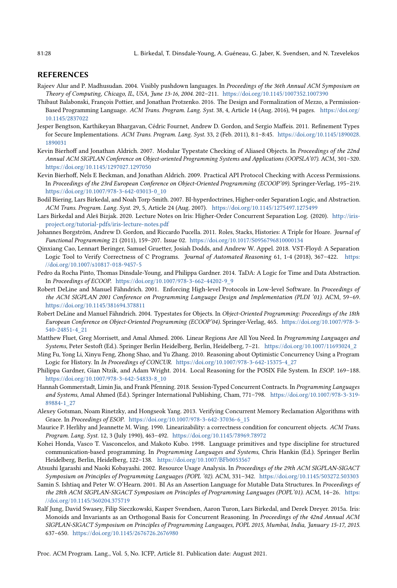## REFERENCES

- <span id="page-27-18"></span>Rajeev Alur and P. Madhusudan. 2004. Visibly pushdown languages. In Proceedings of the 36th Annual ACM Symposium on Theory of Computing, Chicago, IL, USA, June 13-16, 2004. 202-211. <https://doi.org/10.1145/1007352.1007390>
- <span id="page-27-17"></span>Thibaut Balabonski, François Pottier, and Jonathan Protzenko. 2016. The Design and Formalization of Mezzo, a Permission-Based Programming Language. ACM Trans. Program. Lang. Syst. 38, 4, Article 14 (Aug. 2016), 94 pages. [https://doi.org/](https://doi.org/10.1145/2837022) [10.1145/2837022](https://doi.org/10.1145/2837022)
- <span id="page-27-19"></span>Jesper Bengtson, Karthikeyan Bhargavan, Cédric Fournet, Andrew D. Gordon, and Sergio Maffeis. 2011. Refinement Types for Secure Implementations. ACM Trans. Program. Lang. Syst. 33, 2 (Feb. 2011), 8:1-8:45. [https://doi.org/10.1145/1890028.](https://doi.org/10.1145/1890028.1890031) [1890031](https://doi.org/10.1145/1890028.1890031)
- <span id="page-27-10"></span>Kevin Bierhoff and Jonathan Aldrich. 2007. Modular Typestate Checking of Aliased Objects. In Proceedings of the 22nd Annual ACM SIGPLAN Conference on Object-oriented Programming Systems and Applications (OOPSLA'07). ACM, 301-320. <https://doi.org/10.1145/1297027.1297050>
- <span id="page-27-11"></span>Kevin Bierhoff, Nels E Beckman, and Jonathan Aldrich. 2009. Practical API Protocol Checking with Access Permissions. In Proceedings of the 23rd European Conference on Object-Oriented Programming (ECOOP'09). Springer-Verlag, 195-219. [https://doi.org/10.1007/978-3-642-03013-0\\_10](https://doi.org/10.1007/978-3-642-03013-0_10)
- <span id="page-27-1"></span>Bodil Biering, Lars Birkedal, and Noah Torp-Smith. 2007. BI-hyperdoctrines, Higher-order Separation Logic, and Abstraction. ACM Trans. Program. Lang. Syst. 29, 5, Article 24 (Aug. 2007). <https://doi.org/10.1145/1275497.1275499>
- <span id="page-27-8"></span>Lars Birkedal and Aleš Bizjak. 2020. Lecture Notes on Iris: Higher-Order Concurrent Separation Log. (2020). [http://iris](http://iris-project.org/tutorial-pdfs/iris-lecture-notes.pdf)[project.org/tutorial-pdfs/iris-lecture-notes.pdf](http://iris-project.org/tutorial-pdfs/iris-lecture-notes.pdf)
- <span id="page-27-20"></span>Johannes Borgström, Andrew D. Gordon, and Riccardo Pucella. 2011. Roles, Stacks, Histories: A Triple for Hoare. Journal of Functional Programming 21 (2011), 159-207. Issue 02. <https://doi.org/10.1017/S0956796810000134>
- <span id="page-27-21"></span>Qinxiang Cao, Lennart Beringer, Samuel Gruetter, Josiah Dodds, and Andrew W. Appel. 2018. VST-Floyd: A Separation Logic Tool to Verify Correctness of C Programs. Journal of Automated Reasoning 61, 1-4 (2018), 367-422. [https:](https://doi.org/10.1007/s10817-018-9457-5) [//doi.org/10.1007/s10817-018-9457-5](https://doi.org/10.1007/s10817-018-9457-5)
- <span id="page-27-2"></span>Pedro da Rocha Pinto, Thomas Dinsdale-Young, and Philippa Gardner. 2014. TaDA: A Logic for Time and Data Abstraction. In Proceedings of ECOOP. [https://doi.org/10.1007/978-3-662-44202-9\\_9](https://doi.org/10.1007/978-3-662-44202-9_9)
- <span id="page-27-14"></span>Robert DeLine and Manuel Fähndrich. 2001. Enforcing High-level Protocols in Low-level Software. In Proceedings of the ACM SIGPLAN 2001 Conference on Programming Language Design and Implementation (PLDI '01). ACM, 59-69. <https://doi.org/10.1145/381694.378811>
- <span id="page-27-9"></span>Robert DeLine and Manuel Fähndrich. 2004. Typestates for Objects. In Object-Oriented Programming: Proceedings of the 18th European Conference on Object-Oriented Programming (ECOOP'04). Springer-Verlag, 465. [https://doi.org/10.1007/978-3-](https://doi.org/10.1007/978-3-540-24851-4_21) [540-24851-4\\_21](https://doi.org/10.1007/978-3-540-24851-4_21)
- <span id="page-27-16"></span>Matthew Fluet, Greg Morrisett, and Amal Ahmed. 2006. Linear Regions Are All You Need. In Programming Languages and Systems, Peter Sestoft (Ed.). Springer Berlin Heidelberg, Berlin, Heidelberg, 7-21. [https://doi.org/10.1007/11693024\\_2](https://doi.org/10.1007/11693024_2)
- <span id="page-27-3"></span>Ming Fu, Yong Li, Xinyu Feng, Zhong Shao, and Yu Zhang. 2010. Reasoning about Optimistic Concurrency Using a Program Logic for History. In In Proceedings of CONCUR. [https://doi.org/10.1007/978-3-642-15375-4\\_27](https://doi.org/10.1007/978-3-642-15375-4_27)
- <span id="page-27-5"></span>Philippa Gardner, Gian Ntzik, and Adam Wright. 2014. Local Reasoning for the POSIX File System. In ESOP. 169-188. [https://doi.org/10.1007/978-3-642-54833-8\\_10](https://doi.org/10.1007/978-3-642-54833-8_10)
- <span id="page-27-13"></span>Hannah Gommerstadt, Limin Jia, and Frank Pfenning. 2018. Session-Typed Concurrent Contracts. In Programming Languages and Systems, Amal Ahmed (Ed.). Springer International Publishing, Cham, 771-798. [https://doi.org/10.1007/978-3-319-](https://doi.org/10.1007/978-3-319-89884-1_27) [89884-1\\_27](https://doi.org/10.1007/978-3-319-89884-1_27)
- <span id="page-27-4"></span>Alexey Gotsman, Noam Rinetzky, and Hongseok Yang. 2013. Verifying Concurrent Memory Reclamation Algorithms with Grace. In Proceedings of ESOP. [https://doi.org/10.1007/978-3-642-37036-6\\_15](https://doi.org/10.1007/978-3-642-37036-6_15)
- <span id="page-27-7"></span>Maurice P. Herlihy and Jeannette M. Wing. 1990. Linearizability: a correctness condition for concurrent objects. ACM Trans. Program. Lang. Syst. 12, 3 (July 1990), 463-492. <https://doi.org/10.1145/78969.78972>
- <span id="page-27-12"></span>Kohei Honda, Vasco T. Vasconcelos, and Makoto Kubo. 1998. Language primitives and type discipline for structured communication-based programming. In Programming Languages and Systems, Chris Hankin (Ed.). Springer Berlin Heidelberg, Berlin, Heidelberg, 122-138. <https://doi.org/10.1007/BFb0053567>
- <span id="page-27-15"></span>Atsushi Igarashi and Naoki Kobayashi. 2002. Resource Usage Analysis. In Proceedings of the 29th ACM SIGPLAN-SIGACT Symposium on Principles of Programming Languages (POPL '02). ACM, 331-342. <https://doi.org/10.1145/503272.503303>
- <span id="page-27-0"></span>Samin S. Ishtiaq and Peter W. O'Hearn. 2001. BI As an Assertion Language for Mutable Data Structures. In Proceedings of the 28th ACM SIGPLAN-SIGACT Symposium on Principles of Programming Languages (POPL'01). ACM, 14-26. [https:](https://doi.org/10.1145/360204.375719) [//doi.org/10.1145/360204.375719](https://doi.org/10.1145/360204.375719)
- <span id="page-27-6"></span>Ralf Jung, David Swasey, Filip Sieczkowski, Kasper Svendsen, Aaron Turon, Lars Birkedal, and Derek Dreyer. 2015a. Iris: Monoids and Invariants as an Orthogonal Basis for Concurrent Reasoning. In Proceedings of the 42nd Annual ACM SIGPLAN-SIGACT Symposium on Principles of Programming Languages, POPL 2015, Mumbai, India, January 15-17, 2015. 637-650. <https://doi.org/10.1145/2676726.2676980>

Proc. ACM Program. Lang., Vol. 5, No. ICFP, Article 81. Publication date: August 2021.